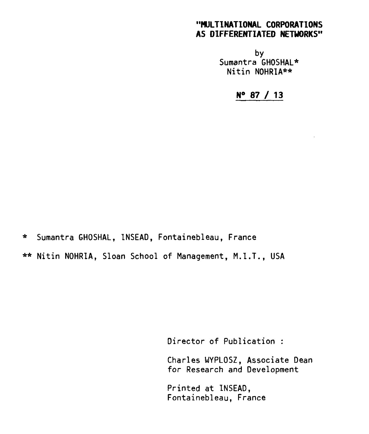## **"MULTINATIONAL CORPORATIONS AS DIFFERENTIATED NETWORKS"**

by Sumantra GHOSHAL\* Nitin NOHRIA\*\*

**N° 87 / 13** 

\* Sumantra GHOSHAL, INSEAD, Fontainebleau, France

\*\* Nitin NOHRIA, Sloan School of Management, M.I.T., USA

Director of Publication :

Charles WYPLOSZ, Associate Dean for Research and Development

Printed at INSEAD, Fontainebleau, France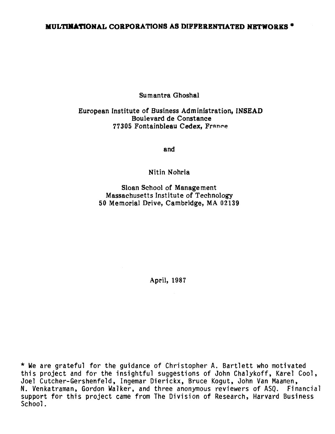## **MULTINATIONAL CORPORATIONS AS DIFFERENTIATED NETWORKS \***

**Sumantra Ghoshal** 

## **European Institute of Business Administration, INSEAD Boulevard de Constance 77305 Fontainbleau Cedex, Frnnee**

**and** 

**Nitin Nohria** 

**Sloan School of Management Massachusetts Institute of Technology 50 Memorial Drive, Cambridge, MA 02139** 

**April, 1987** 

**\* We are grateful for the guidance of Christopher A. Bartlett who motivated this project and for the insightful suggestions of John Chalykoff, Karel Cool, Joel Cutcher-Gershenfeld, Ingemar Dierickx, Bruce Kogut, John Van Maanen, N. Venkatraman, Gordon Walker, and three anonymous reviewers of ASQ. Financial support for this project came from The Division of Research, Harvard Business School.**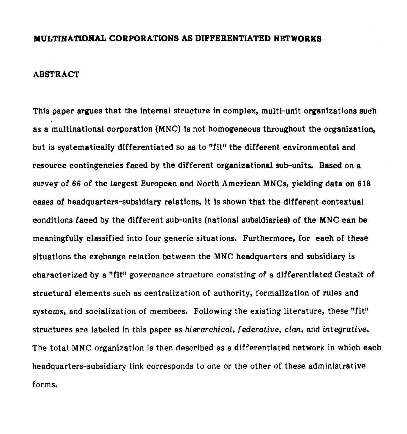#### **MULTINATIONAL CORPORATIONS AS DIFFERENTIATED NETWORKS**

#### **ABSTRACT**

**This paper argues that the internai structure in complex, multi-unit organizations sueh as a multinational corporation (MNC) is not homogeneous throughout the organization, but is systematically differentiated so as to "fit" the different environmental and resource eontingeneies faced by the different organizational sub-units. Based on a survey of 66 of** *the largest European* **and North American MNCs, yielding data on 618 cases of headquarters-subsidiary relations, it is shown that the different contextual conditions faced by the different sub-units (national subsidiaries) of the MNC can be meaningfully classified into four generic situations. Furthermore, for each of these situations the exchange relation between the MNC headquarters and subsidiary is characterized by a "fit" governance structure consisting of a differentiated Gestalt of structural elements such as centralization of authority, formalization of rules and systems, and socialization of members. Following the existing literature, these "fit" structures are labeled in this paper as hierarchical,** *federative, clan,* **and** *integrative.*  **The total MNC organization is then described as a differentiated network in which each headquarters-subsidiary link corresponds to one or the other of these administrative forms.**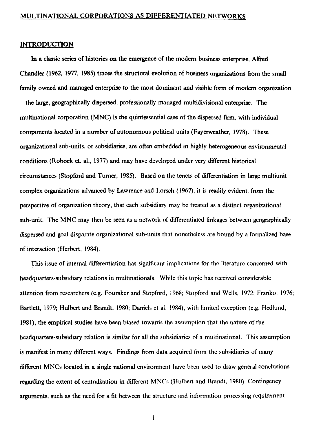#### **INTRODUCTION**

**In a classic series of histories on the emergence of the modem business enterprise, Alfred Chandler (1962, 1977, 1985) traces the structural evolution of business organizations from the small**  family owned and managed enterprise to the most dominant and visible form of modern organization

**the large, geographically dispersed, professionally managed muitidivisional enterprise. The multinational corporation (MNC) is the quintessential case of the dispersed firm, with individual components located in a number of autonomous political units (Fayerweather, 1978). These organizational sub-units, or subsidiaries, are often embedded in highly heterogeneous environmental conditions (Robock et. al., 1977) and may have developed under very different historical circumstances (Stopford and Turner, 1985). Based on the tenets of differentiation in large multiunit complex organizations advanced by Lawrence and Lorsch (1967), it is readily evident, from the perspective of organization theory, that each subsidiary may be treated as a distinct organizational sub-unit. The MNC may then be seen as a network of differentiated linkages between geographically dispersed and goal disparate organizational sub-units that nonetheless are bound by a formalized base of interaction (Herbert, 1984).** 

**This issue of internai differentiation has significant implications for the literature concemed with headquarters-subsidiary relations in multinationals. While this topic has received considerable attention from researchers (e.g. Fouraker and Stopford, 1968; Stopford and Wells, 1972; Franko, 1976; Bartlett, 1979; Hulbert and Brandt, 1980; Daniels et al, 1984), with limited exception (e.g. Hedlund, 1981), the empirical studies have been biased towards the assumption that the nature of the headquarters-subsidiary relation is sirnilar for ail the subsidiaries of a multinational. This assumption is manifest in many diffèrent ways. Findings from data acquired from the subsidiaries of many different MNCs located in a single national environment have been used to draw general conclusions regarding the extent of centralization in different MNCs (Hulbert and Brandt, 1980). Contingency arguments, such as the need for a fit between the structure and information processing requirement**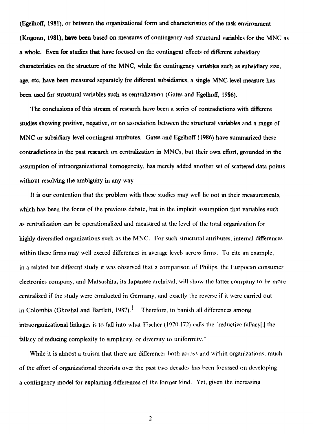**(Egelhoff, 1981), or between the organizational form and characteristics of the task environnent (Kogono, 1981), have been based on measures of contingency and structural variables for the MNC as**  a whole. Even for studies that have focused on the contingent effects of different subsidiary **characteristics on the structure of the MNC, while the contingency variables such as subsidiary size, age, etc. have been measured separately for different subsidiaries, a single MNC level measure has been used for structural variables such as centralization (Gates and Egelhoff, 1986).** 

The conclusions of this stream of research have been a series of contradictions with different **studies showing positive, negative, or no association between the structural variables and a range of MNC or subsidiary level contingent attributes. Gates and Egelhoff (1986) have summarized these contradictions in the past research on centralization in MNCs, but their own effort, grounded in the assumption of intraorganizational homogeneity, has merely added another set of scattered data points without resolving the ambiguity in any way.** 

**It is our contention that the problem with these studies may well lie not in their measurements, which has been the focus of the previous** debate, but in the implicit assumption that variables such as centralization can be operationalized and measured at the level of the total organization for highly diversified organizations such as the MNC. For such structural attributes, internai differences within these firms may well exceed differences in average levels across firms. To cite an example, in a related but different study it was observed that a comparison of Philips, the Furpoean consumer electronics company, and Matsushita, its Japanese archrival, will show the latter company to be more centralized if the study were conducted in Germany, and cxactly the reverse if it were carried out in Colombia (Ghoshal and Bartlett, 1987).<sup>1</sup> Therefore, to banish all differences among intraorganizational linkages is to fall into what Fischer (1970:172) calls the "reductive fallacy[;] the fallacy of reducing complexity to simplicity, or diversity to uniformity."

While it is almost a truism that there are differences both across and within organizations, much of the effort of organizational theorists over the past two decades has heen focussed on **developing a contingency model for explaining differences** of the former kind. Yet, given the increasing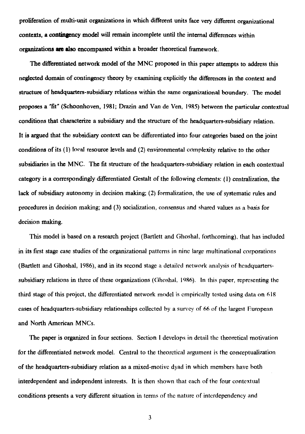**proliferation of multi-unit organizations in which diffèrent units face very different organizational contexts, a contingency model will remain incomplete until the internai differences within organizations are also encompassed within a broader theoretical framework.** 

**The differentiated network model of the MNC proposed in this paper attempts to address this neglected domain of contingency theory by examining explicitly the differences in the context and structure of headquarters-subsidiary relations within the same organizational boundary. The model proposes a lit' (Schoonhoven, 1981; Drazin and Van de Ven, 1985) between the particular contextual conditions that characterize a subsidiary and the structure of the headquarters-subsidiary relation. It is argued that the subsidiary context can be differentiated into four categories based on the joint conditions of its (1) !oral resource levels and (2) environmental complexity relative to the other subsidiaries in the MNC. The fit structure of the headquarters-subsidiary relation in each contextual category is a correspondingly differentiated Gestalt of the following elements: (I) centralization, the lack of subsidiary autonomy in decision making; (2) formalization, the use of systematic tales and procedures in decision making; and (3)** socialization, consensus and shared values as a hasis for decision making.

This model is based on a research project (Bartlett and Ghoshal, forthcoming), that has included in its first stage case studies of the organizational patterns in nine large multinational corporations (Bartlett and Ghoshal, 1986), and in its second stage a detailed network analysis of hcadquarterssuhsidiary relations in three of these organizations (Ghoshal, **1986).** In this paper, representing the third stage of this project, the differentiated network model is cmpirically tested using data on 618 cases of headquarters-subsidiary relationships collected by a survey of 66 of the largest European and North American MNCs.

The paper is organized in four sections. Section I develops in detail the theoretical motivation for the differentiated network mode!. Central to the theoretical argument is the conceptualization of the headquarters-subsidiary relation as a mixed-motive dyad in which members have hoth interdependent and independent interests. It is then shown that each of the four contextual conditions presents a very different situation in ternis of the nature of interdependency and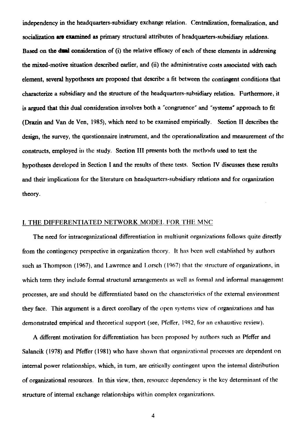**independency in the headquarters-subsidiary exchange relation. Centralization, formalization, and socialisation are examined as prirnary structural attributes of headquarters-subsidiary relations.**  Based on the dual consideration of (i) the relative efficacy of each of these elements in addressing **the mixed-motive situation described earlier, and (ii) the administrative costs associated with each element, several hypotheses are proposed that describe a fit between the contingent conditions that characterize a subsidiary and the structure of the headquarters-subsidiary relation. Furthermore, it is argued that this dual consideration involves both a "congruence" and "systems" approach to fit (Drazin and Van de Ven, 1985), which need to be examined empirically. Section H describes the design, the survey, the questionnaire instrument, and the operationalization and measurement of the constructs,** employed in the study. Section III presents both the methods used to test the hypotheses developed in Section I and the results of these tests. Section IV discusses these results and their implications for the literature on headquarters-subsidiary relations and for organization theory.

#### I. THE DIFFERENTIATED NETWORK MODEL FOR THE MNC

The need for intraorganizational differentiation in multiunit organizations follows quite directly from the contingency perspective in organization theory. It has been well established by authors such as Thompson (1967), and Lawrence and Lorsch (1967) that the structure of organizations, in which term they include formal structural arrangements as well as formal and informal management processes, are and should be differentiated based on the characteristics of the external environment they face. This argument is a direct corollary of the open systems view of organizations and has demonstrated empirical and theoretical support (see, Pfeffer, 1982, for an exhaustive review).

A different motivation for differentiation has been proposed hy authors such as Pfeffer and Salancik (1978) and Pfeffer (1981) who have shown that organizational processes are dependent on internai power relationships, which, in tum, are critically contingent upon the internai distribution of organizational resources. In this view, then, resource dependency is the key determinant of the structure of internai exchange relationships within complex organizations.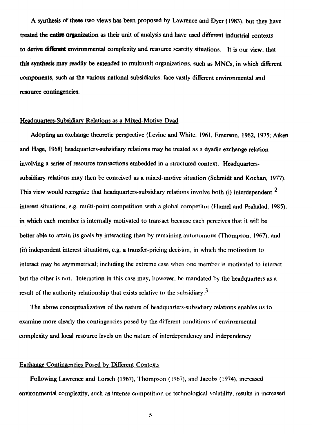**A synthesis of these two views has been proposed by Lawrence and Dyer (1983), but they have**  treated the entire organization as their unit of aualysis and have used different industrial contexts **to derive different environmental complexity and resource scarcity situations. It is our view, that this synthesis may readily be extended to multiunit organizations, such as MNCs, in which different components, such as the varions national subsidiaries, face vastly different environmental and resource contingencies.** 

#### **Headquarters-Subsidiary Relations as a Mixed-Motive Dyad**

**Adopting an exchange theoretic perspective (Levine and White, 1961, Emerson, 1962, 1975; Aiken and Hage, 1968) headquartcrs-subsidiary relations may be treated as a dyadic exchange relation involving a series of resource transactions embedded in a structured context. Headquarterssubsidiary relations may then be conceived as a mixed-motive situation (Schmidt and Kochan, 1977). This view would recognize that headquarters-subsidiary relations involve both** (i) **interdependent 2 interest situations, e.g. multi-point competition with a global competitor (Flamel and Prahalad, 1985),**  in which each member is internally motivated to transact because each perceives that it will be better able to attain its goals by interacting than hy remaining autonomous (Thompson, 1967), and (ii) independent interest situations, e.g. a transfer-pricing decision, in which the motivation to interact may be asymmetrical; including the extreme case when one member is motivated to interact but the other is not. Interaction in this case may, however, he mandated hy the headquarters as a result of the authority relationship that exists relative to the subsidiary.<sup>3</sup>

The above conceptualization of the nature of headquarters-suhsidiary relations enables us to examine more clearly the contingencies posed by the different conditions of environmental complexity and local resource levels on the nature of interdependency and independency.

#### Exchange **Contingencies** Posed by Different Contexts

Following Lawrence and Lorsch (1967), Thompson (1967), and Jacobs (1974), increased environmental complexity, such as intense competition or technological **volatility, results** in increased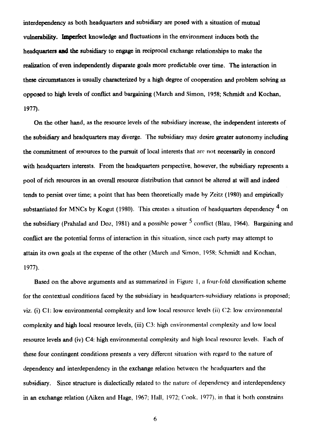**interdependency as both headquarters and subsidiary are posed with a situation of mutual vulnerability. hnperfect knowledge and fluctuations in the environment induces both the headquarters and the subsidiary to engage in reciprocal exchange relationships to make the realization of even independently disparate goals more predictable over time. The interaction in these circumstances is usually characterized by a high degree of cooperation and problem solving as opposed to high levels of conflict and bargaining (March and Simon, 1958; Schmidt and Kochan, 1977).** 

**On the other hand, as the resource levels of the subsidiary increase, the independent interests of the subsidiary and headquarters may diverge. The subsidiary may desire greater autonomy including the commitment of resources to the pursuit of local interests that arc not necessarily in concord with headquarters interests. From the headquarters perspective, however, the subsidiary represents a pool of rich resources in an overall resource distribution that cannot be altered at will and indeed tends to persist over time; a point that has been theoretically made by Zcitz (1980) and empirically**  substantiated for MNCs by Kogut (1980). This creates a situation of headquarters dependency <sup>4</sup> on **the subsidiary (Prahalad and Doz, 1981) and a possible power** 5conflict **(Blau, 1964). Bargaining and conflict are the potential forms of interaction in this situation, since each party may attempt to attain its own goals at the expense of the other** (March and Simon, 1958; Schmidt and Kochan, 1977).

Based on the above arguments and as summarized in Figure I, a four-fold classification scheme for the contextual conditions faced by the subsidiary in headquarters-subsidiary relations is proposed; viz. (i) C1: low environmental complexity and low local resource levels (ii) C2: low environmental **complexity and high local resource levels, (iii)** C3: high environmental complexity and low local resource levels and (iv) C4: high environmental complexity and high local resourcc levels. Each of these four contingent conditions presents a very different situation with regard to the nature of dependency and interdependency in the exchange relation between the headquarters and the subsidiary. Since structure is dialectically related to the nature of dependency and interdependency in an exchange relation (Aiken and Hage, 1967; Hall, 1972; Cook, 1977), in that it both constrains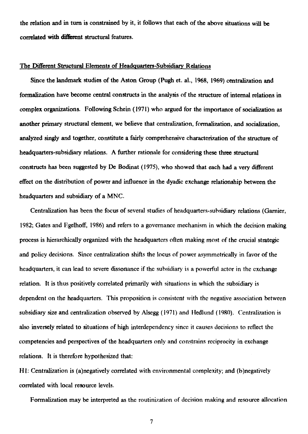the relation and in turn is constrained by it, it follows that each of the above situations will be **correlated with different structural features.** 

#### **The Different Structural Elements of Headquarters-Subsidiary Relations**

**Since the landmark studies of the** Aston Group (Pugh et. al., 1968, 1969) centralization and formalization have become central constructs in the analysis of the structure of internai relations in complex organizations. Following Schein (1971) who argued for the importance of socialization as another primary structural element, we believe that centralization, formalization, and socialization, analyzed singly and together, constitute a fairly comprehensive characterization of the structure of headquarters-subsidiary relations. A further rationale for considering these three structural constructs has been suggested by De Bodinat (1975), who showed that each had a very different effect on the distribution of power and influence in the dyadic exchange relationship between the headquarters and subsidiary of a MNC.

Centralization has been the focus of several studies of headquarters-subsidiary relations (Garnier, 1982; Gates and Egelhoff, 1986) and refers to a governance mechanism in which the decision making process is hierarchically organized with the headquarters often making most of the crucial strategic and policy decisions. Since centralization shifts the locus of power asymmetrically in favor of the headquarters, it can lead to severe dissonance if the subsidiary is a powerful actor in the exchange relation. It is thus positively correlated primarily with situations in which the subsidiary is dependent on the headquarters. This proposition is consistent with the negative association between subsidiary size and centralization observed by Alsegg (1971) and Iledlund (1980). Centralization is also inversely related to situations of high interdependency since it causes decisions to reflect the competencies and perspectives of the headquarters only and constrains reciprocity in exchange relations. It is therefore hypothesized **that:** 

**HI: Centralization** is (a)negatively correlated with environmental complexity; and (b)negatively correlated with local resource levels.

Formalization may be interpreted as the routinization of decision making and resource allocation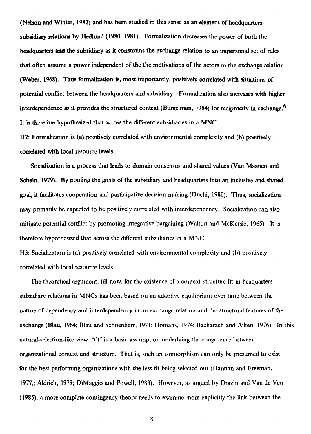**(Nelson and Winter, 1982) and has been studied in this sense as an element of headquarterssubsidiary relations by Hedlund (1980, 1981). Formalization decreases the power of both the headquarters ana the subsidiary as it constrains the exchange relation to an impersonal set of rules that often assume a power independent of the the motivations of the actors in the exchange relation (Weber, 1968). Thus formalization is, most importantly, positively correlated with situations of potential conflict between the headquarters and subsidiary. Formalization also increases with higher interdependence as it provides the structured context (Burgelman, 1984) for reciprocity in exchange.6 It is therefore hypothesized that across the different subsidiaries in a MNC:** 

**H2: Formalization is (a) positively correlated with environmental complexity and (b) positively correlated with local resource levels.** 

**Socialization is a process that leads to domain consensus and shared values (Van Maanen and Schein, 1979). By pooling the goals of the subsidiary and headquarters into an inclusive and shared goal, it facilitates cooperation and participative decision making (Ouchi, 1980). Thus, socialization may primarily be expected to be positively correlated with interdependency. Socialization can also mitigate potential conflict by promoting integrative bargaining (Walton and McKersie, 1965). It is therefore hypothesized that across the different subsidiaries in a MNC:** 

**113: Socialization is (a) positively correlated with environmental complexity and (h) positively correlated with local resource levels.** 

**The theoretical argument, till now, for the existence of a context-structure fit in heaquarterssubsidiary relations in MNCs has been based on an adaptive equilibrium over time between the nature of dependency and interdependency in an exchange relation and the structural features of the exchange (Blau, 1964; Blau and Schoenherr, 1971; llomans, 1974; Bacharach and Aiken, 1976). In this natural-selection-like view, "fit" is a basic assumption underlying the congruence between organizational context and structure. That is, such an isomorphism can only be presumed to exist for the best performing organizations with the less fit being selected out (Hannan and Freeman, 1977,; Aldrich, 1979; DiMaggio and Powell, 1983). I lowever, as argued by Drazin and Van de Ven (1985), a more complete contingency theory nceds to examine more explicitly the link between the**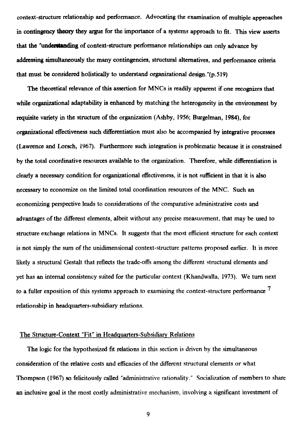**context-structure relationship and performance. Advocating the examination of multiple approaches in contingency theory they argue for the importance of a systems approach to fit. This view asserts**  that the "understanding of context-structure performance relationships can only advance by **addressing simultaneously the many contingencies, structural alternatives, and performance criteria that must be considered holistically to understand organizational design."(p.519)** 

**The theoretical relevance of this assertion for MNCs is readily apparent if one recognizes that while organizational adaptability is enhanced by matching the heterogeneity in the environnent by requisite variety in the structure of the organization (Ashby, 1956; Burgelman, 1984), for organizational effectiveness such differentiation must also be accompanied by integrative processes (Lawrence and Lorsch, 1967). Furthermore such integration is problematic because it is constrained by the total coordinative resources available to the organization. Therefore, while differentiation is clearly a necessary condition for organizational effectiveness, it is not sufficient in that it is also necessary to economize on the limited total coordination resources of the MNC. Such an economizing perspective leads to considerations of the comparative administrative costs and advantages of the different elements, albeit without any precise measurement, that may be used to structure exchange relations in MNCs. It suggests that the most efficient structure for each context is not simply the sum of the unidimensional context-structure patterns proposed earlier. It is more likely a structural Gestalt that reflects the trade-offs among the different structural elements and yet has an internai consistency suited for the particular context (Khandwalla, 1973). We turn next to a fuller exposition of this systems approach to examining the context-structure performance 7 relationship in headquarters-subsidiary relations.** 

#### **The Structure-Context "Fit" in Ileadquarters-Subsidiary Relations**

**The logic for the hypothesized fit relations in this section is driven by the simultaneous consideration of the relative costs and efficacies of the different structural elements or what Thompson (1967) so felicitously called "administrative rationality." Socialization of members to share an inclusive goal is the most costly administrative mechanism, involving a significant investment of**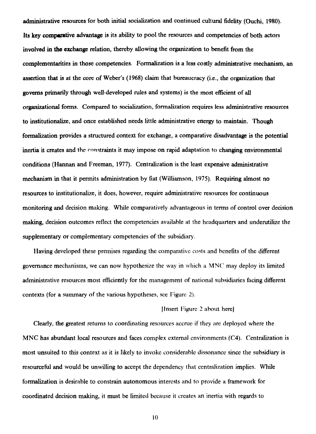**administrative resources for both initial socialization and continued cultural fidelity (Ouchi, 1980). Its key comparative advantage is its ability to pool the resources and competencies of both actors involved in the exchange relation, thereby allowing the organization to benefit from the complementarities in those competencies. Formalization is a less costly administrative mechanism, an assertion that is at the core of Weber's (1968) daim that bureaucracy (i.e., the organization that governs primarily through well-developed mies and systems) is the most efficient of ail organizational forms. Compared to socialization, formalization requires less administrative resources to institutionalize, and once established needs little administrative energy to maintain. Though formalization provides a structured context for exchange, a comparative disadvantage is the potential inertia it creates and the eonstraints it may impose on rapid adaptation to changing environmental conditions (Hannan and Freeman, 1977). Centralization is the least expensive administrative mechanism in that it permits administration by fiat (Williamson, 1975). Requiring almost no resources to institutionalize, it does, however, require administrative resources for continuous monitoring** and decision making. While comparatively advantageous in terms of control over decision making, decision outcomes reflect the competencies available at the headquarters and underutilize the supplementary or complementary competencies of the subsidiary.

llaving developed these premises regarding the comparative costs and henefits of the different governance mechanisms, we can now hypothesize the way in which a MNC may deploy its limited administrative resources most efficiently for the management of national subsidiaries facing different contexts (for a summary of the various hypotheses, see Figure 2).

#### lInsert Figure 2 about herel

Clearly, the greatest returns to coordinating resources accrue if they arc deployed where the MNC has abundant local resources and faces complex external environments (C4). Centralization is most unsuited to this context as it is likely to invoke considerable dissonance since the subsidiary is resourceful and would be unwilling to accept the dependency that centralization implies. White formalization is desirable to constrain autonomous interests and to provide a framework for coordinated decision making, it must be limited because it creates an inertia with regards to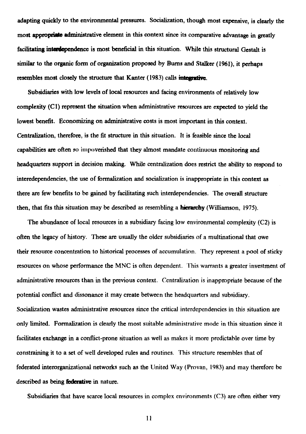**adapting quickly to the environmental pressures. Socialization, though most expensive, is clearly the**  most appropriate administrative element in this context since its comparative advantage in greatly **facilitating interdependence is most beneficial in this situation. While this structural Gestalt is similar to the organic form of organization proposed by Burns and Stalker (1961), it perhaps resembles most closely the structure that Kanter (1983) calls intégrative.** 

**Subsidiaries with low levels of local resources and facing environments of relatively low complexity (Cl) represent the situation when administrative resources are expected to yield the lowest benefit. Economizing on administrative costs is most important in this context. Centralization, therefore, is the fit structure in this situation. It is feasible since the local**  capabilities are often so impoverished that they almost mandate continuous monitoring and **headquarters support in decision making. While centralization does restrict the ability to respond to interedependencies, the use of formalization and socialization is inappropriate in this context as there are few benefits to be gained by facilitating such interdependencies. The overall structure then, that fats this situation may be described as resembling a hierarchy (Williamson, 1975).** 

**The abundance of local resources in a subsidiary facing low environmental complexity (C2) is often the legacy of history. These are usually the older subsidiaries of a multinational that owe their resource concentration to historical processes of accumulation. They represent a pool of sticky resources on whose performance the MNC is often dependent. This warrants a greater investment of administrative resources than in the previous context. Centralization is inappropriate because of the potential conflict and dissonance it may create between the headquarters and subsidiary. Socialization wastes administrative resources since the critical interdependencies in this situation are only limited. Formalization is clearly the most suitable administrative mode in this situation since it facilitates exchange in a conflict-prone situation as well as makes it more predictable over time by constraining it to a set of well developed rules and routines. This structure resembles that of federated interorganizational networks such as the United Way (Provan, 1983) and may therefore be described as being federative in nature.** 

**Subsidiaries that have scarce local resources in complex environments (C3) are often either very**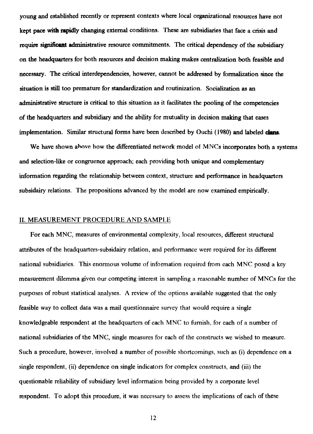**young and established recently or represent contexts where local organizational resources have not kept pace with rapidly changing external conditions. These are subsidiaries that face a crisis and require significant administrative resource conunitments. The critical dependency of the subsidiary on the headquarters for both resources and decision making makes centralization bath feasible and necessary. The critical interdependencies, however, cannot be addressed by formalization since the situation is still too premature for standardization and routinization. Socialization as an administrative structure is critical to this situation as it facilitates the pooling of the competencies of the headquarters and subsidiary and the ability for mutuality in decision making that eases implementation. Similar structural forms have been described by Ouchi (1980) and labeled dans.** 

We have shown above how the differentiated network model of MNCs incorporates both a systems **and selection-like or congruence approach; each providing bath unique and complementary information regarding the relationship between context, structure and performance in headquarters subsidairy relations. The propositions advanced by the model are now examined empirically.** 

#### **II. MEASUREMENT PROCEDURE AND SAMPLE**

**For each MNC, measures of environmental complexity,** local resources, different structural attributes of the headquarters-subsidairy relation, and performance were required for its different national subsidiaries. This enormous volume of information required from each MNC posed a key measurement dilemma given our competing interest in sampling a reasonable number of MNCs for the purposes of robust statistical analyses. A review of the options available suggested that the only feasible way to collect data was a mail questionnaire survey that would require a single knowledgeable respondent at the headquarters of each MNC to furnish, for each of a number of national subsidiaries of the MNC, single measures for each of the constructs we wished to measure. Such a procedure, however, involved a number of possible shortcomings, such as (i) dependence on a single respondent, (ii) dependence on single indicators for complex constructs, and (iii) the questionable reliability of subsidiary level information being provided by a corporate level respondent. To adopt this procedure, it was necessary to assess the implications of each of these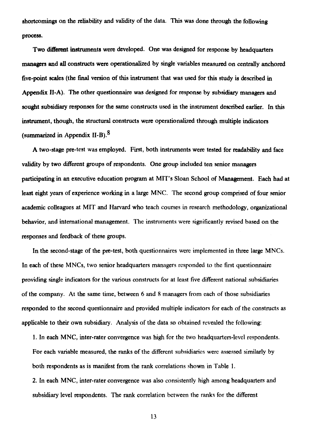**shortcomings on the reliability and validity of the data. This was done through the following process.** 

**Two different instruments were developed. One was designed for response by headquarters managers and ail constructs were operationalized by single variables measured on centrally anchored five-point scales (the final version of this instrument that was used for this study is described in Appendix II-A). The other questionnaire was designed for response by subsidiary managers and**  sought subsidiary responses for the same constructs used in the instrument described earlier. In this **instrument, though, the structural constructs were operationalized through multiple indicators (summarized in Appendix II-B).8** 

**A two-stage pre-test was employed. First, both instruments were tested for readability and face validity by two different groups of respondents. One group included ten senior managers participating in an executive education program at MIT's Sloan School of Management. Each had at least eight years of experience working in a large MNC. The second group comprised of four senior academie colleagues at MIT and Harvard who** teach courses in research methodology, organizational behavior, and international management. The instruments were significantly revised based on the responses and feedback of these groups.

In the second-stage of the pre-test, both questionnaires were implemented in three large MNCs. In each of these MNCs, two senior headquarters managers responded to the first questionnaire providing single indicators for the various constructs for at least five different national subsidiaries of the company. At the same time, between 6 and 8 managers from each of those subsidiaries responded to the second questionnaire and provided multiple indicators for each of the constructs as applicable to their own subsidiary. Analysis of the data so obtained revealed the following:

I. In each MNC, inter-rater convergence was high for the two headquarters-level respondents. For each variable measured, the ranks of the different subsidiaries were assessed similarly by both respondents as is manifest from the rank correlations shown in Table I.

2. In each MNC, inter-rater convergence was also consistently high among headquarters and subsidiary level respondents. The rank correlation between the ranks for the different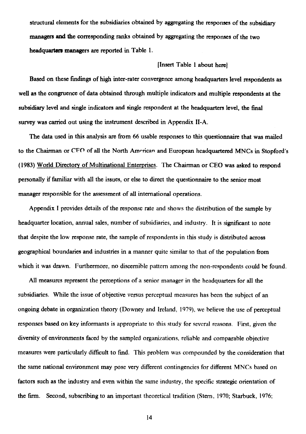structural elements for the subsidiaries obtained by aggregating the responses of the subsidiary **managers and the** corresponding ranks obtained by aggregating the responses of the two **headquartcrs managers are reported in Table** 1.

#### **[Insert Table 1 about herej**

**Based on these fmdings of high inter-rater convergence among headquarters level respondents as well as the congruence of data obtained through multiple indicators and multiple respondents at the subsidiary level and single indicators and single respondent at the headquarters level, the final survey was carried out using the instrument described in Appendix** 

**The data used in this analysis are from 66 usable** responses to **this questionnaire that was mailed to the Chairman or** CF() of all the North Amrrican and European headquartered MNCs in Stopford's (1983) World Directory of Multinational Enterprises. The Chairman or CEO was asked to respond personally if familiar with all the issues, or else to direct the questionnaire to the senior most manager responsible for the assessment of all international operations.

Appendix I provides details of the response rate and shows the distribution of the sample by headquarter location, annual sales, number of subsidiaries, and industry. It is significant to note that despite the low response rate, the sample of respondents in this study is distributed across geographical boundaries and industries in a manner quite similar to that of the population from which it was drawn. Furthermore, no discernible pattern among the non-respondents could be found.

All measures represent the perceptions of a senior manager in the headquarters for all the subsidiaries. While the issue of objective versus perceptual measures has been the subject of an ongoing debate in organization theory (Downey and Ireland, 1979), we helieve the use of perceptual responses based on key informants is appropriate to this study for several reasons. First, given the diversity of environments faced by the sampled organizations, reliable and comparable objective measures were particularly difficult to fmd. This problem was compounded by the consideration that the same national environnent may pose very different contingencies for different MNCs based on factors such as the industry and even within the same industry, the specific strategic orientation of the firm. Second, subscribing to an important theoretical tradition (Stern, 1970; Starbuck, 1976;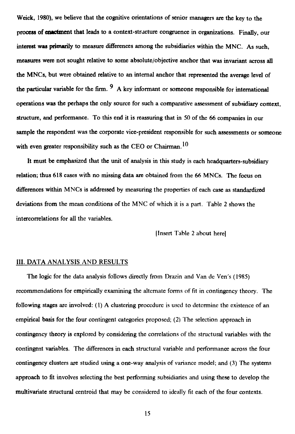**Weick, 1980), we believe that the cognitive orientations of senior managers are the key to the process of enactment that leads to a context-stracture congruence in organizations. Finally, our interest was prirnarily to measure differences among the subsidiaries within the MNC. As such, measures were not sought relative to some absolute/objective anchor that was invariant across all the MNCs, but were obtained relative to an internai anchor that represented the average level of**  the particular variable for the firm.  $9 \text{ A key information or someone responsible for international }$ **operations was the perhaps the only source for such a comparative assessment of subsidiary context, structure, and performance. To this end it is reassuring that in 50 of the 66 companies in our sample the respondent was the corporate vice-president responsible for such assessments or someone**  with even greater responsibility such as the CEO or Chairman.<sup>10</sup>

**It must be emphasized that the unit of analysis in this study is each headquarters-subsidiary relation; thus 618 cases with no missing data are obtained from the 66 MNCs. The focus on differences within MNCs is addressed by measuring the properties of each case as standardized deviations from the mean conditions of the MNC of which it is** a part. **'Table 2 shows the intercorrelations for all the variables.** 

**[Insert Table 2 about herel** 

#### **III. DATA ANALYSIS AND RESULTS**

**The logic for the** data analysis follows directly from Drazin and Van de Ven's (1985) recommendations for empirically examining the alternate forms of fit in contingency theory. The following stages are involved: (1) A clustering procedure is used to determine the existence of an empirical basis for the four contingent categories proposed; (2) The selection approach in contingency theory is explored by considering the correlations of the structural variables with the contingent variables. The differences in each structural variable and performance across the four contingency clusters are studied using a one-way analysis of variance model; and (3) The systems approach to fit involves selecting the best performing subsidiaries and using these to develop the multivariate structural centroid that may be considered to ideally fit each of the four contexts.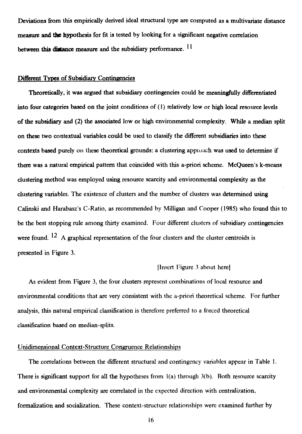**Deviations from this empirically derived ideal structural type are computed as a multivariate distance measure and the hypothesis for fit is tested by looking for a significant negative correlation**  between this distance measure and the subsidiary performance. <sup>11</sup>

#### **Different Types of Subsidiary Continaencies**

**Theoretically, it was argued that subsidiary contingencies could be meaningfully differentiated into four categories based on the joint conditions of (1) relatively low or high local resource levels of the subsidiary and (2) the associated low or high environmental complexity. White a median split on these two contextual variables could be used to classify the different subsidiaries into these contexts based purely ou these theoretical grounds; a clustering apploach was used to determine if there was a natural empirical pattern that coincided with this a-priori scheme. McQueen's k-means clustering method was employed using resource scarcity and environmental complexity as the clustering variables. The existence of clusters and the number of clusters was determined using Calinski and Harabasz's C-Ratio, as recornmended by Milligan and Cooper (1985) who found this to be the best stopping rule among thirty examined. Four different clusters of subsidiary contingencies**  were found. <sup>12</sup> A graphical representation of the four clusters and the cluster centroids is **presented in Figure 3.** 

#### **(Insert Figure 3 about heret**

**As evident from Figure 3, the four clusters represent combinations of local resource and environmental conditions that are very consistent with the a-priori theoretical scheme. For further analysis, this natural empirical classification is therefore preferred to a forced theoretical classification based on median-splits.** 

#### **Unidimensional Context-Structure Congruence Relationships**

**The correlations between the different structural and contingency variables appear in Table I. There is significant support for ail the hypotheses from 1(a) through 3(b). Both resource scarcity and environmental complexity are correlated in the expected direction with centralization, forrnalization and socialization. These context-structure relationships were examined further by**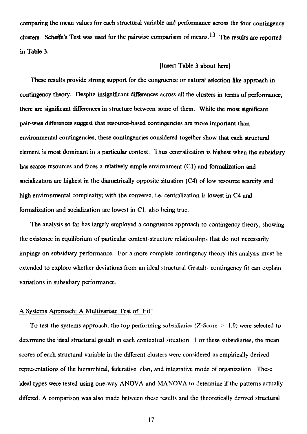**comparing the mean values for each structural variable and performance across the four contingency clusters. Scheffe's Test was used for the pairwise comparison of means.13 The results are reported in Table 3.** 

#### **[Insert Table 3 about herej**

**These results provide strong support for the congruence or natural selection like approach in contingency theory. Despite insignificant differences across all the clusters in ternis of performance, there are significant differences in structure between some of them. While the most significant pair-wise differences suggest that resource-based contingencies are more important than environmental contingencies, these contingencies considered together show that each structural element is most dominant in a particular context.** Thus centralization is highest when the subsidiary **has scarce resources and faces a relatively simple environnent (Cl) and formalization and socialization are highest in the diametrically opposite situation (C4) of low resource scarcity and high environmental complexity; with the converse, i.e. centralization is lowest in C4 and formalization and socialization are lowest in C1,** also being true.

The analysis so far has largely employed a congruence approach to contingency theory, showing the existence in equilibrium of particular context-structure relationships that do not necessarily impinge on subsidiary performance. For a more complete contingency theory this analysis must be extended to explore whether deviations from an ideal structural Gestalt- contingency fit can explain variations in subsidiary performance.

#### **A Systems** Approach: A Multivariate Test of "Fit"

To test the systems approach, the top performing subsidiaries (Z-Score  $> 1.0$ ) were selected to determine the ideal structural gestalt in each contextual situation. For these subsidiaries, the mean scores of each structural variable in the different clusters were considered as empirically **derived representations of the hierarchical, federative, clan, and integrative mode of organization. These ideal types were tested using one-way ANOVA and MA NOVA to determine if the patterns actually differed. A comparison was also made** between these results and the theoretically derived structural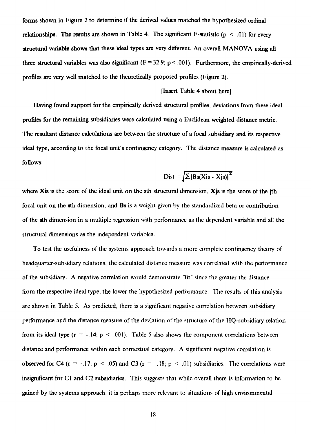**forms shown in Figure 2 to determine if the derived values matched the hypothesized ordinal relationships. The results are shown in Table 4. The significant F-statistic (p < .01) for every structural variable shows that these ideal types are very different. An overall MANOVA using all**  three structural variables was also significant  $(F = 32.9; p < .001)$ . Furthermore, the empirically-derived **profiles are very well matched to the theoretically proposed profiles (Figure 2).** 

#### **[Insert Table 4 about here]**

**Having found support for the empirically derived structural profiles, deviations from these ideal profiles for the remaining subsidiaries were calculated using a Euclidean weighted distance metric. The resultant distance calculations are between the structure of a focal subsidiary and its respective ideal type, according to the focal unit's contingency category. The distance measure is calculated as follows:** 

$$
Dist = \sqrt{\sum [Bs(Xis - Xjs)]^2}
$$

where **Xis** is the score of the ideal unit on the sth structural dimension, **Xis** is the score of the *i*th **focal unit on the sth dimension, and Bs is** a weight given by- the standardized beta or contribution **of the sth dimension in a multiple** regression with performance as the dependent variable and all the structural **dimensions as the independent** variables.

To test the usefulness of the systems approach towards a more complete contingency theory of headquarter-subsidiary relations, the calculated distance measure was correlated with the performance of the subsidiary. A negative correlation would demonstrate "fit" sincc the greater the distance from the respective ideal type, the lower the hypothesized performance. The results of this analysis are shown in Table 5. As predicted, there is a significant negative correlation between subsidiary performance and the distance measure of the deviation of the structure of the IIQ-subsidiary relation from its ideal type ( $r = -.14$ ;  $p < .001$ ). Table 5 also shows the component correlations between distance and performance within each contextual category. A significant negative correlation is observed for C4 (r = -.17; p < .05) and C3 (r = -.18; p < .01) subsidiaries. The correlations were insignificant for C l and C2 subsidiaries. This suggests that while overall there is information to he gained by the systems approach, it is perhaps more relevant to situations of high environmental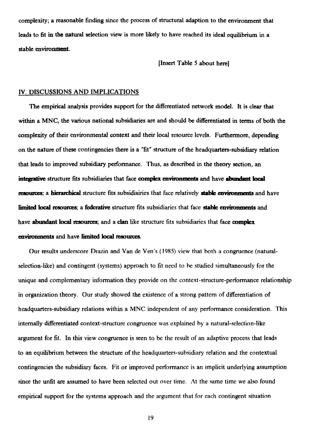complexity; a reasonable finding since the process of structural adaption to the environment that leads to fit in the natural selection view is more likely to have reached its ideal equilibrium in a stable environnent.

[Insert Table 5 about here]

#### IV. DISCUSSIONS AND IMPLICATIONS

The empirical analysis provides support for the differentiated network model. It is clear that within a MNC, the various national subsidiaries are and should be differentiated in ternis of both the complexity of their environmental context and their local resource levels. Furthermore, depending on the nature of these contingencies there is a "fit" structure of the headquarters-subsidiary relation that leads to improved subsidiary performance. Thus, as described in the theory section, an **integative** structure lits subsidiaries that face **complex environments** and have **abondant local resources; a hierarchical** structure fits subsidiairies that face relatively **stable environments** and have **limited local resources;** a **federative** structure lits subsidiaries that face **stable environments** and have **abondant local tesources;** and a **clan** like structure fits subsidiaries that face **comptex environments** and have **limited local resouroes.** 

Our results underscore Drazin and Van de Ven's (1985) view that both a congruence (naturalselection-like) and contingent (systems) approach to fit need to be studied simultaneously for the unique and complementary information they provide on the context-structure-performance relationship in organization theory. Our study showed the existence of a strong pattern of differentiation of headquarters-subsidiary relations within a MNC independent of any performance consideration. This internally differentiated context-structure congruence was explained by a natural-selection-like argument for fit. In this view congruence is seen to be the result of an adaptive process that leads to an equilibrium between the structure of the headquarters-subsidiary relation and the contextual contingencies the subsidiary faces. Fit or improved performance is an implicit underlying assumption since the unfit are assumed to have been selected out *over* time. At the same time we also found empirical support for the systems approach and the argument that for each contingent situation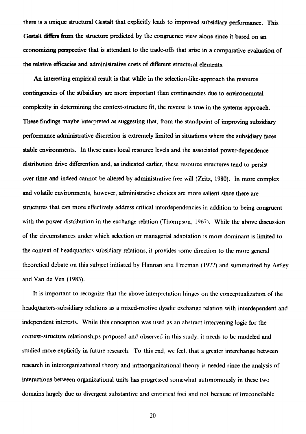**there is a unique structural Gestalt that explicitly leads to improved subsidiary performance. This Gestalt differs from the structure predicted by the congruence view alone since it based on an**  economizing perspective that is attendant to the trade-offs that arise in a comparative evaluation of **the relative efficacies and administrative costs of different structural elements.** 

**An interesting empirical result is that while in the selection-like-approach the resource contingencies of the subsidiary are more important than contingencies due to environemntal complexity in determining the context-structure fit, the reverse is true in the systems approach. These fmdings maybe interpreted as suggesting that, from the standpoint of improving subsidiary performance administrative discretion is extremely limited in situations where the subsidiary faces stable environments. In** these **cases local resource levels and the associated power-dependence distribution drive differention and, as indicated earlier, these resource structures tend to persist over time and indeed cannot be altered by administrative free will (Zeitz, 1980). In more complex and volatile environments, however, administrative** choices are more salient since there are structures that can more effectively address critical interdependencies in addition to being congruent with the power distribution in the exchange relation (Thompson, 1967). While the above discussion of the circumstances under which selection or managerial adaptation is more dominant is limited to the context of headquarters subsidiary relations, it provides some direction to the more general theoretical debate on this subject initiated by Hannan and Freeman (1977) and summarized by Astley and Van de Ven (1983).

It is important to recognize that the above interpretation hinges on the conceptualization of the headquarters-subsidiary relations as a mixed-motive dyadic exchange relation with interdependent and independent interests. While this conception was used as an abstract intervening logic for the context-structure relationships proposed and observed in this study, it needs to be modeled and studied more explicitly in future research. To this end, we feel, that a greater interchange between research in interorganizational theory and intraorganizational theory is needed since the analysis of interactions between organizational units has progressed somewhat autonomously in these two domains largely due to divergent substantive and empirical foci and not hecause of irreconcilable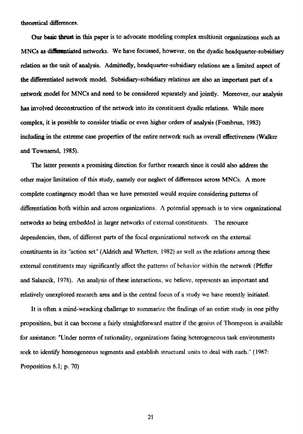**theoretical differences.** 

**Our basic thrust in this paper is to advocate modeling complex multiunit organizations such as MNCs as differentiated networks. We have focussed, however, on the dyadic headquarter-subsidiary relation as the unit of analysis. Admittedly, headquarter-subsidiary relations are a limited aspect of the differentiated network model. Subsidiary-subsidiary relations are also an important part of a network model for MNCs and need to be considered separately and jointly. Moreover, our analysis has involved deconstruction of the network into its constituent dyadic relations. Wilde more complex, it is possible to consider triadic or even higher orders of analysis (Fombrun, 1983) including in the extreme case properties of the entire network such as overall effectiveness (Walker and Townsend, 1985).** 

**The latter presents a promising direction for further research since it could also address the other major limitation of this study, namely our neglect of differences across MNCs. A more complete contingency model than we have presented would require considering patterns of differentiation both** within and across organizations. A potential approach is to view **organizational networks** as being embedded in larger networks of externat constituents. The resource dependencies, then, of different parts of the focal organizational network on the externat constituents in its "action set" (Aldrich and Whetten, 1982) as well as the relations among these externat constituents may significantly affect the patterns of behavior within the network (Pfeffer and Salancik, 1978). An analysis of these interactions, we believe, represents an important and relatively unexplored research area and is the central focus of a study we have recently initiated.

It is often a mind-wracking challenge to summarize the findings of an entire study in one pithy proposition, but it can become a fairly straightforward matter if the genius of Thompson is available for assistance: 'Under norms of rationality, organizations facing heterogeneous task environments seek to identify homogeneous segments and establish structural units to deal with each." (1967: Proposition 6.1; p. 70)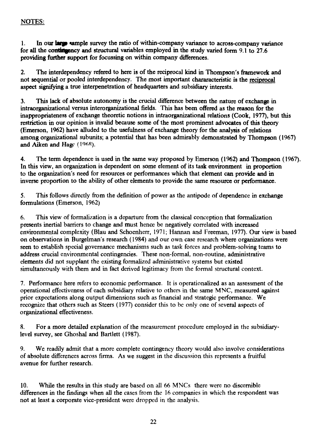# **NOTES:**

1. In our **large sample** survey the ratio of within-company variance to across-company variance **for all the contingency and structural variables employed in the study varied form 9.1 to 27.6 providing further support for focussing on within company differences.** 

**2. The interdependency refered to here is of the reciprocal kind in Thompson's framework and not sequential or pooled interdependency. The most important chararacteristic is the reciprocal aspect signifying a true interpenetration of headquarters and subsidiary interests.** 

**3. This lack of absolute autonomy is the crucial difference between the nature of exchange in intraorganizational versus interorganizational fields. This has been offered as the reason for the inappropriateness of exchange theoretic notions in intraorganizational relations (Cook, 1977), but this restriction in our opinion is invalid because some of the most prominent advocates of this theory (Emerson, 1962) have alluded to the usefulness of exchange theory for the analysis of relations among organizational subunits; a potential that has been admirably demonstrated by Thompson (1967) and Aiken and Hagc (1968).** 

4. The term dependence is used in the same way proposed by Emerson (1962) and Thompson (1967). **In this view, an organization is dependent on some element of its task environment in proportion to the organization's need for resources or performances which that element can provide and in**  inverse proportion to the ability of other elements to provide the same resource or performance.

**5. This follows directly from the definition of power as the antipode of dependence in exchange formulations (Emerson, 1962)** 

**6. This view of formalization is a departure from the classical conception that formalization presents inertial barriers to change and must hence be negatively correlated with increased environmental complexity (Blau and Schoenherr, 1971; Hannan and Freeman, 1977). Our view is based on observations in Burgelman's research (1984) and our own case research where organizations were seen to establish special governance mechanisms such as task forces and problem-solving teams to address crucial environmental contingencies. These non-formal, non-routine, administrative elements did not supplant the existing formalized administrative systems but existed simultaneously with them and in fact derived legitimacy from the formai structural context.** 

**7. Performance here refers to economic performance. It is operationalized as an assessment of the operational effectiveness of each subsidiary relative to others in the same MNC, measured against prior expectations along output dimensions such as financial and strategic performance. We recognize that others such as Steers (1977) consider this to be only one of several aspects of organizational effectiveness.** 

**8. For a more detailed explanation of the measurement procedure employed in the subsidiarylevel survey, see Ghoshal and Bartlett (1987).** 

**9. We readily admit that a more complete contingency theory would also involve considerations of absolute differences across firms. As we suggest in the discussion this represents a fruitful avenue for further research.** 

**10. While the results in this study are based on ail 66 MNCs there were no discernible**  differences in the findings when all the cases from the 16 companies in which the respondent was not at least a corporate vice-president were dropped in the analysis.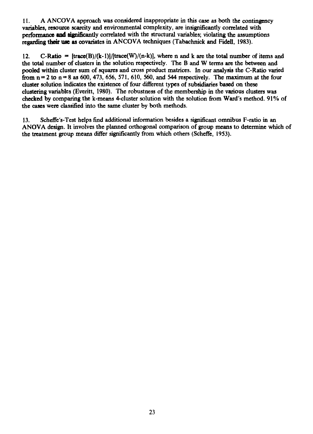**I 1. A ANCOVA approach was considered inappropriate in this case as both the contingency variables, resource scarcity and environmental complexity, are insignificantly correlated with performance sud significantly correlated with the structural variables; violating the assumptions regarding their use as covariates in ANCOVA techniques (Tabachnick and Fidell, 1983).** 

12. **C-Ratio** =  $[trace(B)/(k-1)]/[trace(W)/(n-k)]$ , where n and k are the total number of items and **the total number of clusters in the solution respectively. The B and W terms are the between and pooled within cluster sum of squares and cross product matrices. In our analysis the C-Ratio varied from**  $n = 2$  **to**  $n = 8$  **as 600, 473, 656, 571, 610, 560, and 544 respectively. The maximum at the four cluster solution indicates the existence of four different types of subsidiaries based on these clustering variables (Everitt, 1980). The robustness of the membership in the various clusters** *was*  **checked by comparing the k-means 4-cluster solution with the solution from Ward's method. 91% of the cases were classified into the same cluster by both methods.** 

**13. Scheffe's-Test helps find additional information besides a significant omnibus F-ratio in an ANOVA design. It involves the planned orthogonal comparison of group means to determine which of the treatment group means differ significantly from which others (Scheffe, 1953).**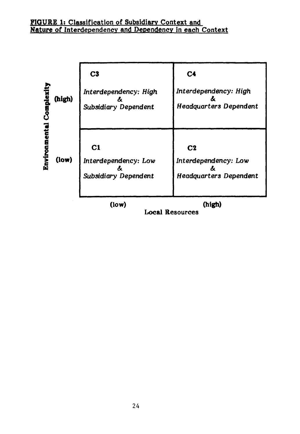| <b>Comple:</b> | (high) | C <sub>3</sub><br>Interdependency: High<br>ά<br>Subsidiary Dependent | C <sub>4</sub><br>Interdependency: High<br><b>Headquarters Dependent</b> |
|----------------|--------|----------------------------------------------------------------------|--------------------------------------------------------------------------|
|                | (low)  | C1<br>Interdependency: Low<br>Subsidiary Dependent                   | C <sub>2</sub><br>Interdependency: Low<br><b>Headquarters Dependent</b>  |
|                |        | $($ low $)$                                                          | (high)                                                                   |

**Local Resources**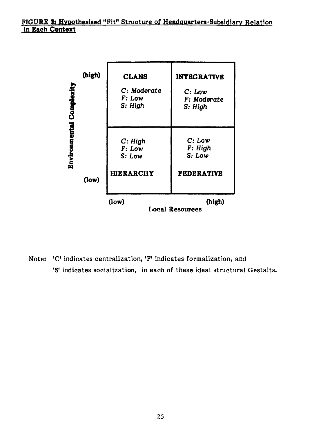

**Note: 'C' indicates centralization, 'F' indicates formalization, and 'S' indicates socialization, in each of these ideal structural Gestalts.**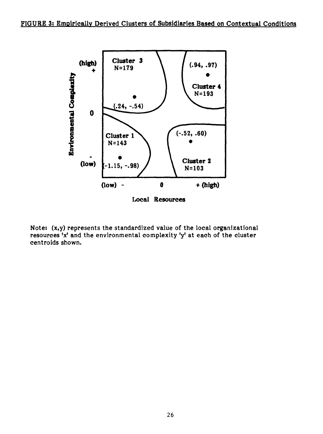

**Note: (x,y) represents the standardized value of the local organizational resources 'x' and the environmental complexity 'y' at each of the cluster centroids shown.**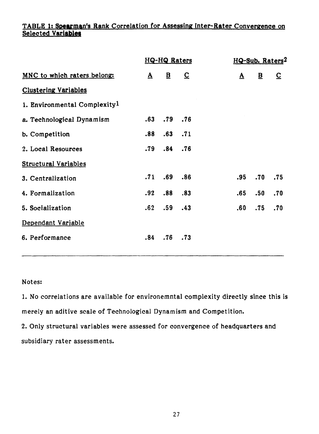# **TABLE 1: Spearman's Rank Correlation for Assessing Inter-Rater Convergence on Selected VariabIeti**

|                                          |          | <b>HQ-HQ Raters</b> |                         | HQ-Sub. Raters <sup>2</sup> |          |                     |                         |  |
|------------------------------------------|----------|---------------------|-------------------------|-----------------------------|----------|---------------------|-------------------------|--|
| MNC to which raters belong:              | $\Delta$ | $\mathbf{B}$        | $\overline{\mathbf{C}}$ |                             | $\Delta$ | $\overline{B}$      | $\overline{\mathsf{C}}$ |  |
| <b>Clustering Variables</b>              |          |                     |                         |                             |          |                     |                         |  |
| 1. Environmental Complexity <sup>1</sup> |          |                     |                         |                             |          |                     |                         |  |
| a. Technological Dynamism                |          | $.63$ $.79$ $.76$   |                         |                             |          |                     |                         |  |
| b. Competition                           |          | $.88$ $.63$ $.71$   |                         |                             |          |                     |                         |  |
| 2. Local Resources                       |          | $.79$ $.84$ $.76$   |                         |                             |          |                     |                         |  |
| <b>Structural Variables</b>              |          |                     |                         |                             |          |                     |                         |  |
| 3. Centralization                        |          | $.71$ $.69$         | .86                     |                             |          | $.95$ . $70$ . $75$ |                         |  |
| 4. Formalization                         |          | $.92$ $.88$ $.83$   |                         |                             | .65      | .50.70              |                         |  |
| 5. Socialization                         |          | $.62$ $.59$ $.43$   |                         |                             |          | $.60$ $.75$ $.70$   |                         |  |
| Dependant Variable                       |          |                     |                         |                             |          |                     |                         |  |
| 6. Performance                           |          | $.84$ $.76$ $.73$   |                         |                             |          |                     |                         |  |

## **Notes:**

**1. No correlations are available for environemntal complexity directly since this is merely an aditive scale of Technological Dynamism and Competition.** 

**2. Only structural variables were assessed for convergence of headquarters and subsidiary rater assessments.**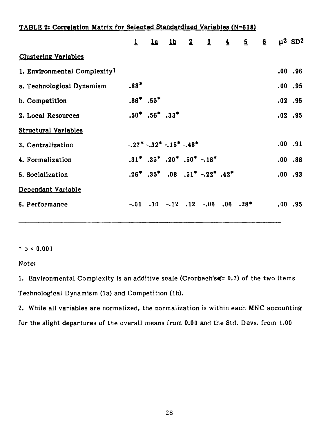| TABLE 2: Correlation Matrix for Selected Standardized Variables (N=618) |              |                                                                                 |  |                                                |                |       |                         |
|-------------------------------------------------------------------------|--------------|---------------------------------------------------------------------------------|--|------------------------------------------------|----------------|-------|-------------------------|
|                                                                         | $\mathbf{1}$ |                                                                                 |  | $1a$ $1b$ $2$ $3$ $4$                          | $\overline{5}$ | $6 -$ | $\mu^2$ SD <sup>2</sup> |
| <b>Clustering Variables</b>                                             |              |                                                                                 |  |                                                |                |       |                         |
| 1. Environmental Complexity <sup>1</sup>                                |              |                                                                                 |  |                                                |                |       | .00.96                  |
| a. Technological Dynamism                                               | $.88*$       |                                                                                 |  |                                                |                |       | .00.95                  |
| b. Competition                                                          |              | $.86^*$ $.55^*$                                                                 |  |                                                |                |       | $.02$ .95               |
| 2. Local Resources                                                      |              | $.50^*$ $.56^*$ $.33^*$                                                         |  |                                                |                |       | $.02$ .95               |
| <b>Structural Variables</b>                                             |              |                                                                                 |  |                                                |                |       |                         |
| 3. Centralization                                                       |              | $-.27$ <sup>*</sup> $-.32$ <sup>*</sup> $-.15$ <sup>*</sup> $-.48$ <sup>*</sup> |  |                                                |                |       | .00.91                  |
| 4. Formalization                                                        |              |                                                                                 |  | $.31^*$ .35* .20* .50* -.18*                   |                |       | .00.88                  |
| 5. Socialization                                                        |              |                                                                                 |  | $.26^*$ $.35^*$ $.08$ $.51^*$ $-.22^*$ $.42^*$ |                |       | .00.93                  |
| Dependant Variable                                                      |              |                                                                                 |  |                                                |                |       |                         |
| 6. Performance                                                          |              |                                                                                 |  | $-.01$ $.10$ $-.12$ $.12$ $-.06$ $.06$ $.28*$  |                |       | .00.95                  |
|                                                                         |              |                                                                                 |  |                                                |                |       |                         |

**\* p < 0.001** 

**Note:** 

1. Environmental Complexity is an additive scale (Cronbach'sa<sup>t = 0.7</sup>) of the two items **Technological Dynamism (la) and Competition (lb).** 

**2. While all variables are** normalized, the normalization is within each MNC **accounting for the slight** *departures* **of** the overall means from **0.00** and the Std. Deys. from 1.00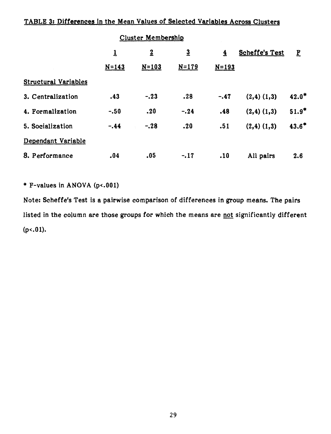# **TABLE 3: Differences in the Mean Values of Selected Variables Across Clusters**

|                             |             | <b>Cluster Membership</b> |                |                         |                       |         |
|-----------------------------|-------------|---------------------------|----------------|-------------------------|-----------------------|---------|
|                             | $\mathbf 1$ | $\overline{2}$            | $\overline{3}$ | $\overline{\mathbf{4}}$ | <b>Scheffe's Test</b> | E       |
|                             | $N = 143$   | $N = 103$                 | $N = 179$      | $N = 193$               |                       |         |
| <b>Structural Variables</b> |             |                           |                |                         |                       |         |
| 3. Centralization           | .43         | $-.23$                    | .28            | $-.47$                  | $(2,4)$ $(1,3)$       | $42.0*$ |
| 4. Formalization            | $-.50$      | .20                       | $-.24$         | .48                     | $(2,4)$ $(1,3)$       | $51.9*$ |
| 5. Socialization            | $-.44$      | $-.28$                    | .20            | .51                     | $(2,4)$ $(1,3)$       | $43.6*$ |
| Dependant Variable          |             |                           |                |                         |                       |         |
| 8. Performance              | .04         | .05                       | $-.17$         | .10                     | All pairs             | 2.6     |

**\* F-values in ANOVA (p<.001)** 

**Note: Scheffe's Test is a pairwise comparison of differences in group means. The** *pairs*  **listed in the column are those groups for which the means are not significantly different (p<.01).**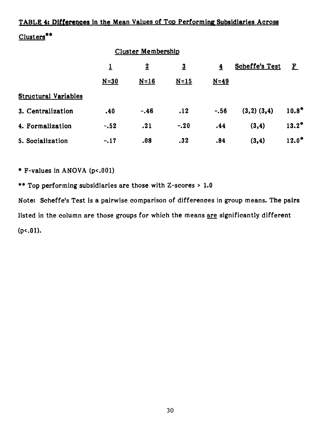# **TABLE 4: Differences in the Mean Values of Top Performin¢ Subsidiaries Across Clusters\*\***

|                             |          | <b>Cluster Membership</b> |                |                         |                       |           |
|-----------------------------|----------|---------------------------|----------------|-------------------------|-----------------------|-----------|
|                             | <u>1</u> | $\overline{2}$            | $\overline{3}$ | $\overline{\mathbf{4}}$ | <b>Scheffe's Test</b> | ${\bf F}$ |
|                             | $N = 30$ | $N = 16$                  | $N=15$         | $N=49$                  |                       |           |
| <b>Structural Variables</b> |          |                           |                |                         |                       |           |
| 3. Centralization           | .40      | $-.46$                    | .12            | $-.56$                  | $(3,2)$ $(3,4)$       | $10.8*$   |
| 4. Formalization            | $-.52$   | .21                       | $-.20$         | .44                     | (3,4)                 | $13.2*$   |
| 5. Socialization            | $-.17$   | .08                       | .32            | .84                     | (3,4)                 | $12.0*$   |

**\* F-values in ANOVA (p<.001)** 

**\*\* Top performing subsidiaries are those with Z-scores > 1.0** 

**Note: Scheffe's Test is a pairwise comparison of differences in group means. The pairs listed in the column are those groups for which the means are significantly different (p<.01).**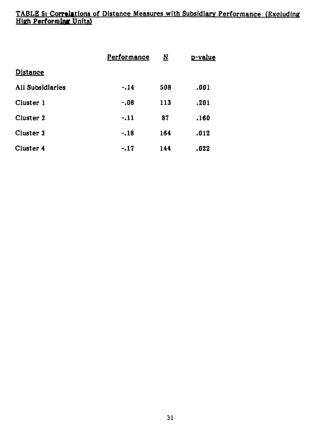# **TABLE 5: Correlations of Distance Measures with Subsidiary Performance (Excluding**  Hifth **Performing Units)**

|                  | Performance | $\underline{\textbf{N}}$ | p-value |
|------------------|-------------|--------------------------|---------|
| <b>Distance</b>  |             |                          |         |
| All Subsidiaries | $-.14$      | 508                      | .001    |
| Cluster 1        | -.08        | 113                      | .201    |
| Cluster 2        | $-.11$      | 87                       | .160    |
| Cluster 3        | $-.18$      | 164                      | .012    |
| Cluster 4        | $-17$       | 144                      | .022    |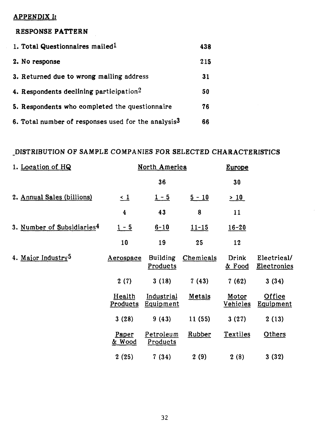## **APPENDIX I:**

# **RESPONSE PATTERN**

| 1. Total Questionnaires mailed <sup>1</sup>                     | 438 |
|-----------------------------------------------------------------|-----|
| 2. No response                                                  | 215 |
| 3. Returned due to wrong mailing address                        | 31  |
| 4. Respondents declining participation <sup>2</sup>             | 50  |
| 5. Respondents who completed the questionnaire                  | 76  |
| 6. Total number of responses used for the analysis <sup>3</sup> | 66  |

# DISTRIBUTION **OF SAMPLE COMPANIES FOR SELECTED CHARACTERISTICS**

| 1. Location of HQ                      |                            | North America               |           | Europe                   |                                   |
|----------------------------------------|----------------------------|-----------------------------|-----------|--------------------------|-----------------------------------|
|                                        |                            | 36                          |           | 30                       |                                   |
| 2. Annual Sales (billions)             | $\leq$ 1                   | $1 - 5$                     | $5 - 10$  | >10                      |                                   |
|                                        | $\overline{\mathbf{4}}$    | 43                          | 8         | 11                       |                                   |
| 3. Number of Subsidiaries <sup>4</sup> | $1 - 5$                    | $6 - 10$                    | $11 - 15$ | $16 - 20$                |                                   |
|                                        | 10                         | 19                          | 25        | 12                       |                                   |
| 4. Major Industry <sup>5</sup>         | Aerospace                  | <b>Building</b><br>Products | Chemicals | Drink<br>& Food          | Electrical/<br><b>Electronics</b> |
|                                        | 2(7)                       | 3(18)                       | 7(43)     | 7(62)                    | 3(34)                             |
|                                        | Health<br>Products         | Industrial<br>Equipment     | Metals    | Motor<br><u>Vehicles</u> | Office<br>Equipment               |
|                                        | 3(28)                      | 9(43)                       | 11(55)    | 3(27)                    | 2(13)                             |
|                                        | Paper<br><u>&amp; Wood</u> | Petroleum<br>Products       | Rubber    | Textiles                 | Others                            |
|                                        | 2(25)                      | 7(34)                       | 2(9)      | 2(8)                     | 3(32)                             |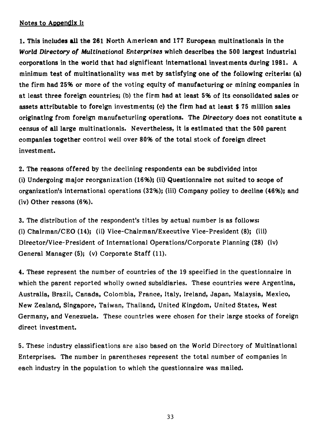# **Notes to Aopendix I:**

**1. This includes all the 261 North American and 177 European multinationals in the**  *World Directory of Multinational Enterprises* **which describes the 500 largest industrial corporations in the world that had significant international investments during 1981. A minimum test of multinationality was met by satisfying one of the following eriteria: (a) the firm had 25% or more of the voting equity of manufacturing or mining companies in at least three foreign countries; (b) the firm had at least 5% of its consolidated sales or assets attributable to foreign investments; (c) the firm had at least \$ 75 million sales originating from foreign manufacturiing operations. The Directory does not eonstitute a census of all large multinationals. Nevertheless, it is estimated that the 500 parent companies together control well over 80% of the total stock of foreign direct Invest ment.** 

**2. The reasons offered by the declining respondents can be subdivided into: (i) Undergoing major reorganization (16%); (ii) Questionnaire not suited to scope of organization's international operations (32%);** (iii) **Company policy to decline (46%); and (iv) Other reasons (6%).** 

**3. The distribution of the respondent's titles by actual number is as follows: (i) Chairman/CEO (14);** (ii) **Vice-Chairman/Executive Vice-President (8);** (iii) **Director/Vice-President of International Operations/Corporate Planning (28) (iv) General Manager (5); (y) Corporate Staff (11).** 

**4. These represent the number of countries of the 19 specified in the questionnaire in which the parent reported wholly owned subsidiaries. These countries were Argentina, Australia, Brazil, Canada, Colombia, France, Italy, Ireland, Japan, Malaysia, Mexico, New Zealand, Singapore, Taiwan, Thailand, United Kingdom,** United States, West Germany, and Venezuela. These countries were chosen for their large stocks of foreign direct investment.

5. These industry classifications are also **based on the World** Directory of Multinational Enterprises. The number in parentheses represent the total number of companies in each industry in the population to which the questionnaire was mailed.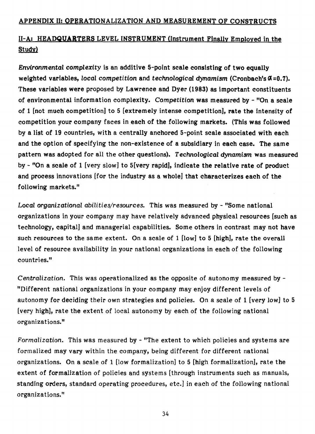# **II-A: HEADQUARTERS LEVEL INSTRUMENT (Instrument Finallv Emploved in the Studv)**

*Environmental complexity is* **an additive 5-point scale consisting of two equally**  weighted variables, local competition and *technological dynamism* (Cronbach's  $\alpha = 0.7$ ). **These variables were proposed by Lawrence and Dyer (1983) as important constituents of environmental information complexity.** *Competition* **was measured by - "On a scale of 1 [not much competition] to 5 [extremely intense competition], rate the intensity of competition your eompany faces in each of the following markets. (This was followed by a list of 19 countries, with a centrally anchored 5-point scale associated with each and the option of specifying the non-existence of a subsidiary in each case. The same pattern was adopted for** *all* **the other questions).** *Technological dynamism* **was measured by - "On a scale of 1** [very slow] **to 5[very rapid], indicate the relative rate of product and process innovations** [for the industry **as a whole] that eharacterizes each of the following markets."** 

**Local** *organizational abilities/resources.* This was measured by - "Some national organizations in your company may have relatively advanced physical resources [such as technology, capital] and managerial capabilities. Some others in contrast may not have such resources to the same extent. On a scale of 1 [low] to 5 [high], rate the overall level of resource availability in your national organizations in each of the following countries."

Centralization. This was operationalized as the opposite of autonomy measured by - "Different national organizations in your company may enjoy different levels of autonomy for deciding their own strategies and policies. On a scale of 1 [very low] to 5 [very high], rate the extent of local autonomy by each of the following national organizations."

*Formalization.* This was measured by - "The extent to which policies and systems are formalized may vary within the company, being different for different national organizations. **On a scale of 1** [low formalization] to 5 [high formalization], rate the extent of formalization of policies and systems [through instruments such as manuels, standing orders, standard operating procedures, etc.] in each of the following national organizations."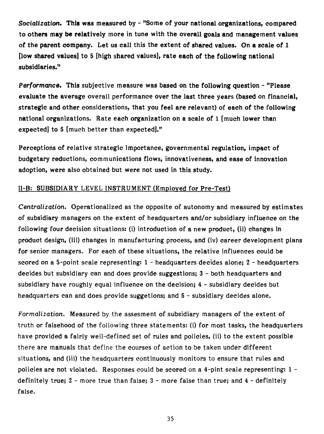*Socialization.* **This was measured by - "Some of your national organizations, eompared to others may be relatively more in tune with the overall goals and management values of the parent company. Let us call this** *the* **extent of shared values. On a scale of 1 Dow shared values] to 5 [high shared values], rate each of the following national subsidiaries."** 

*Performance.* **This subjective measure was based on the following question - "Please evaluate the average** overall performance **over the last three years (based on financial, strategic and** other considerations, **that you feel are relevant) of each of the following national organizations. Rate each organization on a scale of 1 [much lower than expected] to 5** [much better than expected]."

Perceptions of relative strategic importance, governmental regulation, impact of budgetary reductions, communications fiows, innovativeness, and ease of innovation adoption, were also obtained but were not used in this study.

# II-B: SUBSIDIARY LEVEL INSTRUMENT (Emoloved for Pre-Test)

*Centralization.* Operationalized as the opposite of autonomy and measured by estimates of subsidiary managers on the extent of headquarters and/or subsidiary influence on the following four decision situations: (i) introduction of a new product, (ii) changes in product design, (iii) changes in manufacturing process, and (iv) career development plans for senior managers. For each of **these** situations, the relative influences could be scored on a 5-point scale representing: 1 - headquarters decides alone; 2 - headquarters decides but subsidiary can and does provide suggestions; 3 - both headquarters and subsidiary have roughly equal influence on the decision; 4 - subsidiary decides but headquarters can and does provide suggetions; and 5 - subsidiary decides alone.

*Formalization.* Measured by the assesment of subsidiary managers of the extent of truth or falsehood of the following three statements: (i) for most tasks, the headquarters have provided a fairly well-defined set of rules and policies, (ii) to the extent possible there are manuals that define the courses of action to be taken under different situations, and (iii) the headquarters continuously monitors to ensure that rules and policies are not violated. Responses could be scored on a 4-pint scale representing: 1 definitely true; 2 - more true than false; 3 - more false than true; and 4 - definitely false.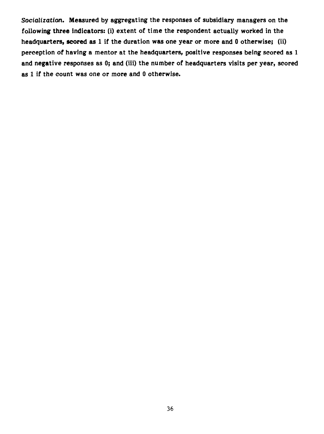*Socialization.* **Measured by aggregating the responses of subsidiary managers on the**  following three indicators: (i) extent of time the respondent actually worked in the **headquarters, scored as 1 if the duration was one year or more and 0 otherwise; (ii) perception of having a mentor at the headquarters, positive responses being scored as 1 and negative responses** *as* **0; and (iii) the number of headquarters visits per year, scored as 1** *if* **the count was one or more and 0 otherwise.**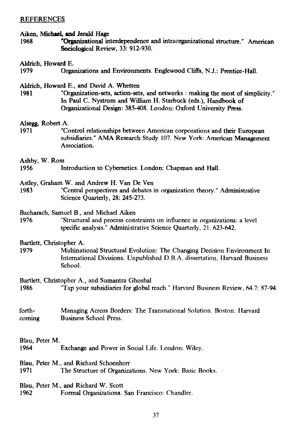#### **REFERENCES**

#### **Aiken, Michael, and Jerald Hage**

**1968 'Organizational interdependence and intraorganizational structure." American Sociological Review, 33: 912-930.** 

#### **Aldrich, Howard E.**

**1979 Organizations and Environments. Englewood Cliffs, NJ.: Prentice-Hall.** 

#### **Aldrich, Howard E., and David A. Whetten**

**1981 "Organization-sets, action-sets, and networks : making the most of simplicity." In Paul C. Nystrom and William H. Starbuck (eds.), Handbook of Organizational Design: 385-408. London: Oxford University Press.** 

#### **Alsegg, Robert A.**

**1971 "Control relationships between American corporations and their European subsidiaries." AMA Research Study 107. New York: American Management Association.** 

**Ashby, W. Ross** 

- **1956 Introduction to Cybemetics. London: Chapman and Hall.**
- **Astley, Graham W. and Andrew H. Van De Ven**
- **1983 "Central perspectives and debates in organization theory." Administrative Science Quarterly, 28: 245-273.**

#### **Bacharach, Samuel B., and Michael Aiken**

**1976** "Structural and process constraints on influence in organizations: a level specific analysis." Administrative **Science Quarterly, 21: 623-642.** 

#### **Bartlett, Christopher A.**

**1979 Multinational Structural Evolution: The Changing** Decision Environment In International Divisions. Unpublished D.B.A. dissertation, Harvard Business School.

Bartlett, Christopher A., and Sumantra Ghoshal

```
1986 "Tap your subsidiaries for global reach." Harvard Business Review, 64.7: 87-94.
```
forth- Managing Across Borders: The Transnational Solution. Boston: Harvard coming Business School Press.

Blau, Peter M.

1964 Exchange and Power in Social Life. London: Wiley.

# Blau, Peter M., and Richard Schoenherr<br>1971 The Structure of Organiza

The Structure of Organizations. New York: Basic Books.

# Blau, Peter M., and Richard W. Scott<br>1962 – Formal Organizations.

Formal Organizations. San Francisco: Chandler.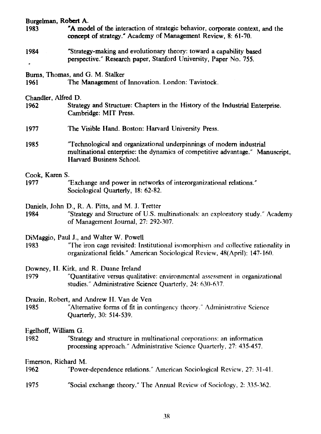| Burgelman, Robert A.         |                                                                                                                                                                                                           |
|------------------------------|-----------------------------------------------------------------------------------------------------------------------------------------------------------------------------------------------------------|
| 1983                         | "A model of the interaction of strategic behavior, corporate context, and the<br>concept of strategy." Academy of Management Review, 8: 61-70.                                                            |
| 1984                         | "Strategy-making and evolutionary theory: toward a capability based<br>perspective." Research paper, Stanford University, Paper No. 755.                                                                  |
| 1961                         | Burns, Thomas, and G. M. Stalker<br>The Management of Innovation. London: Tavistock.                                                                                                                      |
|                              |                                                                                                                                                                                                           |
| Chandler, Alfred D.<br>1962  | Strategy and Structure: Chapters in the History of the Industrial Enterprise.<br>Cambridge: MIT Press.                                                                                                    |
| 1977                         | The Visible Hand. Boston: Harvard University Press.                                                                                                                                                       |
| 1985                         | "Technological and organizational underpinnings of modern industrial<br>multinational enterprise: the dynamics of competitive advantage." Manuscript,<br>Harvard Business School.                         |
| Cook, Karen S.               |                                                                                                                                                                                                           |
| 1977                         | "Exchange and power in networks of interorganizational relations."<br>Sociological Quarterly, 18: 62-82.                                                                                                  |
| 1984                         | Daniels, John D., R. A. Pitts, and M. J. Tretter<br>"Strategy and Structure of U.S. multinationals: an exploratory study." Academy<br>of Management Journal, 27: 292-307.                                 |
| 1983                         | DiMaggio, Paul J., and Walter W. Powell<br>"The iron cage revisited: Institutional isomorphism and collective rationality in<br>organizational fields." American Sociological Review, 48(April): 147-160. |
| 1979                         | Downey, H. Kirk, and R. Duane Ireland<br>"Quantitative versus qualitative: environmental assessment in organizational<br>studies." Administrative Science Quarterly, 24: 630-637.                         |
| 1985                         | Drazin, Robert, and Andrew H. Van de Ven<br>"Alternative forms of fit in contingency theory." Administrative Science<br>Quarterly, 30: 514-539.                                                           |
| Egelhoff, William G.<br>1982 | "Strategy and structure in multinational corporations: an information<br>processing approach." Administrative Science Quarterly, 27: 435-457.                                                             |
| Emerson, Richard M.<br>1962  | "Power-dependence relations." American Sociological Review, 27: 31-41.                                                                                                                                    |
| 1975                         | "Social exchange theory." The Annual Review of Sociology, 2: 335-362.                                                                                                                                     |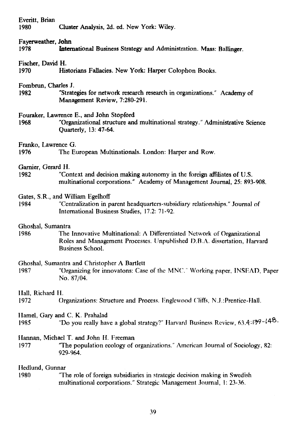| Everitt, Brian<br>1980                                                                                                                                                                                | Cluster Analysis, 2d. ed. New York: Wiley.                                                                                                          |  |  |  |
|-------------------------------------------------------------------------------------------------------------------------------------------------------------------------------------------------------|-----------------------------------------------------------------------------------------------------------------------------------------------------|--|--|--|
| Fayerweather, John<br>1978                                                                                                                                                                            | International Business Strategy and Administration. Mass: Ballinger.                                                                                |  |  |  |
| Fischer, David H.<br>1970                                                                                                                                                                             | Historians Fallacies. New York: Harper Colophon Books.                                                                                              |  |  |  |
| Fombrun, Charles J.<br>1982                                                                                                                                                                           | "Strategies for network research research in organizations." Academy of<br>Management Review, 7:280-291.                                            |  |  |  |
| 1968                                                                                                                                                                                                  | Fouraker, Lawrence E., and John Stopford<br>"Organizational structure and multinational strategy." Administrative Science<br>Quarterly, 13: 47-64.  |  |  |  |
| Franko, Lawrence G.<br>1976                                                                                                                                                                           | The European Multinationals. London: Harper and Row.                                                                                                |  |  |  |
| Garnier, Gerard H.<br>1982                                                                                                                                                                            | "Context and decision making autonomy in the foreign affiliates of U.S.<br>multinational corporations." Academy of Management Journal, 25: 893-908. |  |  |  |
| Gates, S.R., and William Egelhoff<br>"Centralization in parent headquarters-subsidiary relationships." Journal of<br>1984<br>International Business Studies, 17.2: 71-92.                             |                                                                                                                                                     |  |  |  |
| Ghoshal, Sumantra<br>1986<br>The Innovative Multinational: A Differentiated Network of Organizational<br>Roles and Management Processes. Unpublished D.B.A. dissertation, Harvard<br>Business School. |                                                                                                                                                     |  |  |  |
| 1987                                                                                                                                                                                                  | Ghoshal, Sumantra and Christopher A Bartlett<br>"Organizing for innovatons: Case of the MNC." Working paper, INSEAD, Paper<br>No. 87/04.            |  |  |  |
| Hall, Richard H.<br>1972                                                                                                                                                                              | Organizations: Structure and Process. Englewood Cliffs, N.J.:Prentice-Hall.                                                                         |  |  |  |
| 1985                                                                                                                                                                                                  | Hamel, Gary and C. K. Prahalad<br>"Do you really have a global strategy?" Harvard Business Review, 63.4:179-148.                                    |  |  |  |
| 1977                                                                                                                                                                                                  | Hannan, Michael T. and John H. Freeman<br>"The population ecology of organizations." American Journal of Sociology, 82:<br>929-964.                 |  |  |  |
| Hedlund, Gunnar<br>"The role of foreign subsidiaries in strategic decision making in Swedish<br>1980<br>multinational corporations." Strategic Management Journal, 1: 23-36.                          |                                                                                                                                                     |  |  |  |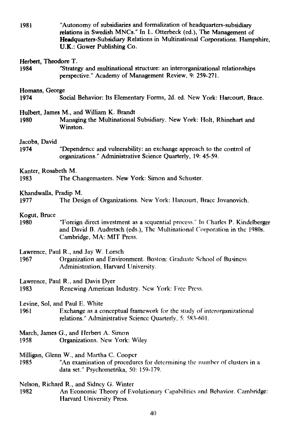**1981 "Autonomy of subsidiaries and formalization of headquarters-subsidiary relations in Swedish MNCs." In L. Otterbeck (ed.), The Management of Headquarters-Subsidiary Relations in Multinational Corporations. Hampshire,**  U.K.: **Gower Publishing Co.** 

#### **Herbert, Theodore T.**

**1984 "Strategy and multinational structure: an interorganizational relationships perspective." Academy of Management Review, 9: 259-271.** 

#### **Homans, George**

**1974 Social Behavior: lis Elementary Forms, 2d. ed. New York: Harcourt, Brace.** 

#### **Hulbert, James M., and William K. Brandt**

**1980 Managing the Multinational Subsidiary. New York: Holt, Rhinehart and Winston.** 

#### **Jacobs, David**

**1974 "Dependence and vulnerability: an exchange approach to the control of organizations." Administrative Science Quarterly, 19: 45-59.** 

#### **Kanter, Rosabeth M.**

**1983 The Changemasters. New York: Simon and Schuster.** 

#### **Khandwalla, Pradip M.**

**1977 The Design of Organizations. New York: I larcourt, Brace Jovanovich.** 

#### **Kogut, Bruce**

**1980 "Foreign direct investment as a** sequential process." In Charles P. **Kindelberger and David B. Audretsch** (eds.), The Multinational Corporation in the 1980s. Cambridge, MA: MIT Press.

Lawrence, Paul R., and Jay W. Lorsch

- 1967 Organization and Environment. Boston: Graduate School of Business Administration, Harvard University.
- Lawrence, Paul R., and Davis Dyer<br>1983 Renewing American
- Renewing American Industry. New York: Free Press.
- Levine, Sol, and Paul E. White
- 1961 Exchange as a conceptual framework for the study of interorganizational relations." Administrative Science Quarterly, 5: 583-601.
- March, James G., and Herbert A. Simon
- 1958 Organizations. New York: Wiley

Milligan, Glenn W., and Martha C. Cooper

- 1985 "An examination of procedures for determining the numher of clusters in a data set." Psychometrika, 50: 159-179.
- **Nelson, Richard R., and** Sidney G. Winter
- An Economic Theory of Evolutionary Capabilitics and Behavior. Cambridge: Harvard University Press.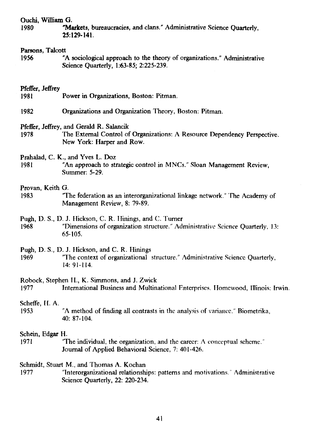#### **Ouchi, William G.**

**1980 Markets, bureaucracies, and clans." Administrative Science Quarterly, 25:129-141.** 

#### **Parsons, Talcott**

**1956 "A sociological approach to the theory of organizations." Administrative Science Quarterly, 1:63-85; 2:225-239.** 

#### **Pfeffer, Jeffrey**

- **1981 Power in Organizations, Boston: Pitman.**
- **1982 Organizations and Organization Theory, Boston: Pitman.**
- **Pfeffer, Jeffrey, and Gerald R. Salancik**
- **1978 The External Control of Organizations: A Resource Dependency Perspective. New York: Harper and Row.**

**Prahalad, C. K., and Yves L. Doz** 

**1981 "An approach to strategic control in MNCs." Sloan Management Review, Summer: 5-29.** 

#### **Provan, Keith G.**

**1983 "The federation as an interorganizational linkage network." The Academy of Management Review, 8: 79-89.** 

**Pugh, D. S., D. J. Hickson, C. R. Ilinings, and C. Turner** 

**1968 "Dimensions of organization** structure." Administrative *Science* **Quarterly,** 13: 65-105.

**Pugh, D. S., D. J. Hickson, and C. R. Hinings** 

**1969 "The context of organizational** structure." Administrative Science Quarterly, 14: 91-114.

Robock, **Stephen H., K. Simmons, and J. Zwick** 

**1977 International Business and** Multinational Enterprises. llomewood, Illinois: Irwin.

#### **Scheffe, H. A.**

**1953 "A method of finding all** contrasta in the analysis of variance." Biometrika, **40: 87-104.** 

#### **Schein, Edgar H.**

**1971 "The individual, the organization, and the** career: A conceptual **scheme." Journal of Applied Behavioral** Science, **7: 401-426.** 

**Schmidt, Stuart M., and Thomas A. Kochan** 

**1977 "Interorganizational relationships: patterns and motivations."** Administrative Science Quarterly, 22: 220-234.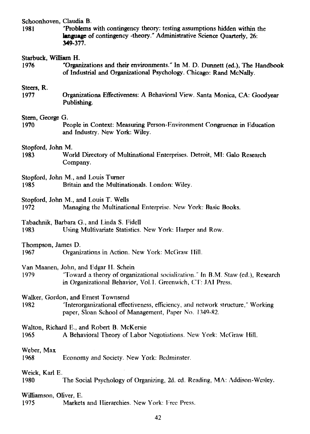**Schoonhoven, Claudia B.** 

**1981 "Problems with contingency theory: testing assumptions hidden within the language of contingency -theory." Administrative Science Quarterly, 26: 349-377.** 

#### **Starbuck, William H.**

**1976 "Organizations and their environments." In M. D. Dunnett (ed.), The Handbook of Industrial and Organizational Psychology. Chicago: Rand McNally.** 

#### **Steers, R.**

**1977 Organizationa Effectiveness: A Behavioral View. Santa Monica, CA: Goodyear Publishing.** 

#### **Stem, George G.**

**1970** People in Context: Measuring Person-Environment Congruence in Education and Industry. New York: Wiley.

# Stopford, John M.

World Directory of Multinational Enterprises. Detroit, MI: Galo Research Company.

Stopford, John M., and Louis Turner 1985 Britain and the Multinationals. London: Wiley.

Stopford, John M., and Louis T. Wells

1972 Managing the Multinational Enterprise. New York: Basic Books.

Tabachnik, Barbara G., and Linda S. Fidell

1983 LJsing Multivariate Statistics. New York: Ilarper and Row.

Thompson, James D.

1967 Organizations in Action. New York: McGraw

Van Maanen, John, and Edgar II. Schein

1979 "i'oward a theory of organizational socialization." **In B.M.** Staw (ed.), Research in Organizational Behavior, Vol.l. Greenwich, **CF:** JA1 Press.

Walker, Gordon, and Ernest Townsend<br>1982 **The Team** *Telerorganizational* effec

"Interorganizational effectiveness, efficiency, and network structure," Working paper, Sloan School of Management, Paper No. 1349-82.

Walton, Richard E., and Robert B. McKersie

1965 A Behavioral Theory of Labor Negotiations. New York: McGraw Hill.

Weber, Max

1968 Economy and Society. New York: Bedminster.

Weick, Karl E.

1980 The Social Psychology of Organizing, 2d. ed. Reading, MA: Addison-Wesley.

# Williamson, Oliver, E.

Markets and Hierarchies. New York: Free Press.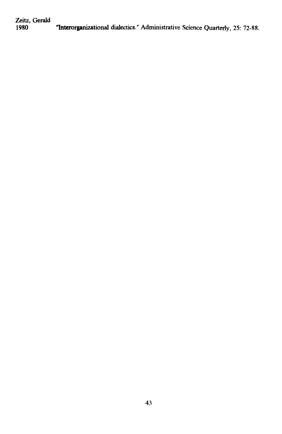**Zeitz, Gerald 1980 Interorganizational dialectics." Administrative Science Quarterly, 25: 72-88.**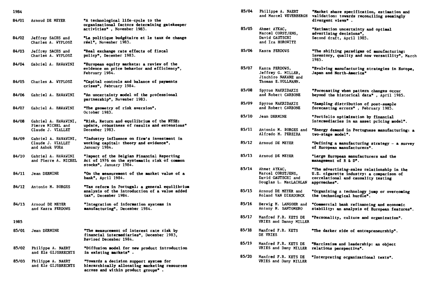| 1984  |                                                                |                                                                                                                               |
|-------|----------------------------------------------------------------|-------------------------------------------------------------------------------------------------------------------------------|
| 84/01 | Arnoud DE MEYER                                                | "A technological life-cycle to the<br>organisational factors determining gatekeeper<br>activities", November 1983.            |
| 84/02 | Jeffrey SACHS and<br>Charles A. WYPLOSZ                        | "La politique budgétaire et le taux de change<br>réel", November 1983.                                                        |
| 84/03 | Jeffrey SACHS and<br>Charles A. WYPLOSZ                        | "Real exchange rate effects of fiscal<br>policy", December 1983.                                                              |
| 84/04 | Gabriel A. HAWAWINI                                            | "European equity markets: a review of the<br>evidence on price behavior and efficiency",<br>February 1984.                    |
| 84/05 | Charles A. WYPLOSZ                                             | "Capital controls and balance of payments<br>crises", February 1984.                                                          |
| 84/06 | Gabriel A. HAVAVINI                                            | "An uncertainty model of the professional<br>partnership", November 1983.                                                     |
| 84/07 | <b>Gabriel A. HAWAWINI</b>                                     | "The geometry of risk aversion",<br>October 1983.                                                                             |
| 84/08 | Gabriel A. HAWAWINI,<br>Pierre MICHEL and<br>Claude J. VIALLET | "Risk, Return and equilibrium of the NYSE:<br>update, robustness of results and extensions"<br>December 1983.                 |
| 84/09 | Gabriel A. HAWAWINI,<br>Claude J. VIALLET<br>and Ashok VORA    | "Industry influence on firm's investment in<br>working capital: theory and evidence",<br>January 1984.                        |
| 84/10 | Gabriel A. HAWAWINI<br>and Pierre A. MICHEL                    | "Impact of the Belgian Financial Reporting<br>Act of 1976 on the systematic risk of common<br>stocks", January 1984.          |
| 84/11 | Jean DERMINE                                                   | "On the measurement of the market value of a<br><b>bank", April 1984.</b>                                                     |
| 84/12 | Antonio M. BORGES                                              | "Tax reform in Portugal: a general equilibrium<br>analysis of the introduction of a value added<br>tax", December 1984.       |
| 84/13 | Arnoud DE MEYER<br>and Kasra FERDOWS                           | "Integration of information systems in<br>manufacturing", December 1984.                                                      |
| 1985  |                                                                |                                                                                                                               |
| 85/01 | Jean DERMINE                                                   | "The measurement of interest rate risk by<br>financial intermediaries", December 1983,<br><b>Revised December 1984.</b>       |
| 85/02 | Philippe A. NAERT<br>and Els GIJSBRECHTS                       | "Diffusion model for new product introduction<br>in existing markets".                                                        |
| 85/03 | Philippe A. NAERT<br>and Els GIJSBRECHTS                       | "Towards a decision support system for<br>hierarchically allocating marketing resources<br>across and within product groups". |

| 85/04 | Philippe A. NAERT<br>and Marcel WEVERBERGH                                              | "Market share specification, estimation and<br>validation: towards reconciling seemingly<br>divergent views".                                 |
|-------|-----------------------------------------------------------------------------------------|-----------------------------------------------------------------------------------------------------------------------------------------------|
| 85/05 | Ahmet AYKAC,<br>Marcel CORSTJENS.<br>David GAUTSCHI<br>and Ira HOROWITZ                 | "Estimation uncertainty and optimal<br>advertising decisions",<br>Second draft, April 1985.                                                   |
| 85/06 | Kasra FERDOWS                                                                           | "The shifting paradigms of manufacturing:<br>inventory, quality and now versatility", March<br>1985.                                          |
| 85/07 | Kasra FERDOWS,<br>Jeffrey G. MILLER,<br>Jinchiro NAKANE and<br>Thomas E.VOLLMANN.       | "Evolving manufacturing strategies in Europe,<br>Japan and North-America"                                                                     |
| 85/08 | <b>Spyros MAKRIDAKIS</b><br>and Robert CARBONE                                          | "Forecasting when pattern changes occur<br>beyond the historical data", April 1985.                                                           |
| 85/09 | Spyros MAKRIDAKIS<br>and Robert CARBONE                                                 | "Sampling distribution of post-sample<br>forecasting errors", February 1985.                                                                  |
| 85/10 | Jean DERMINE                                                                            | "Portfolio optimization by financial<br>intermediaries in an asset pricing model".                                                            |
| 85/11 | Antonio M. BORGES and<br>Alfredo M. PEREIRA                                             | "Energy demand in Portuguese manufacturing: a<br>tvo-stage model".                                                                            |
| 85/12 | Arnoud DE MEYER                                                                         | "Defining a manufacturing strategy - a survey<br>of European manufacturers".                                                                  |
| 85/13 | Arnoud DE MEYER                                                                         | "Large European manufacturers and the<br>management of R & D".                                                                                |
| 85/14 | Ahmet AYKAC,<br>Marcel CORSTJENS,<br>David GAUTSCHI and<br><b>Douglas L. MacLACHLAN</b> | "The advertising-sales relationship in the<br>U.S. cigarette industry: a comparison of<br>correlational and causality testing<br>approaches". |
| 85/15 | Arnoud DE MEYER and<br><b>Roland VAN DIERDONCK</b>                                      | "Organizing a technology jump or overcoming<br>the technological hurdle".                                                                     |
| 85/16 | Herwig M. LANGOHR and<br>Antony M. SANTOMERO                                            | "Commercial bank refinancing and economic<br>stability: an analysis of European features".                                                    |
| 85/17 | Manfred F.R. KETS DE<br>VRIES and Danny MILLER                                          | "Personality, culture and organization".                                                                                                      |
| 85/18 | Manfred F.R. KETS<br>DE VRIES                                                           | "The darker side of entrepreneurship".                                                                                                        |
| 85/19 | Manfred F.R. KETS DE<br>VRIES and Dany MILLER                                           | "Narcissism and leadership: an object<br>relations perspective".                                                                              |
| 85/20 | Manfred F.R. KETS DE<br>VRIES and Dany MILLER                                           | "Interpreting organizational texts".                                                                                                          |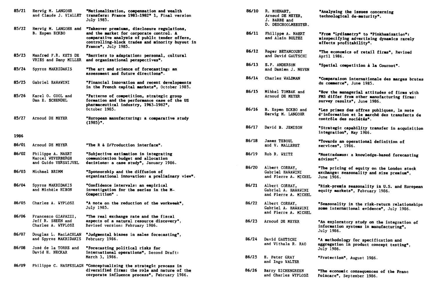| 85/21 | Herwig M. LANGOHR<br>and Claude J. VIALLET                     | "Nationalization, compensation and wealth<br>transfers: France 1981-1982" 1, Final version<br>July 1985.                                                                                                          |
|-------|----------------------------------------------------------------|-------------------------------------------------------------------------------------------------------------------------------------------------------------------------------------------------------------------|
| 85/22 | Herwig M. LANGOHR and<br>B. Espen ECKBO                        | "Takeover premiums, disclosure regulations,<br>and the market for corporate control. A<br>comparative analysis of public tender offers,<br>controlling-block trades and minority buyout in<br>France", July 1985. |
| 85/23 | <b>Manfred F.R. KETS DE</b><br>VRIES and Dany MILLER           | "Barriers to adaptation: personal, cultural<br>and organizational perspectives".                                                                                                                                  |
| 85/24 | Spyros MAKRIDAKIS                                              | "The art and science of forecasting: an<br>assessment and future directions".                                                                                                                                     |
| 85/25 | Gabriel HAVAVINI                                               | "Financial innovation and recent developments<br>in the French capital markets", October 1985.                                                                                                                    |
| 85/26 | Karel 0. COOL and<br>Dan E. SCHENDEL                           | "Patterns of competition, strategic group<br>formation and the performance case of the US<br>pharmaceutical industry, 1963-1982",<br>October 1985.                                                                |
| 85/27 | Arnoud DE MEYER                                                | "European manufacturing: a comparative study<br>$(1985)$ ".                                                                                                                                                       |
| 1986  |                                                                |                                                                                                                                                                                                                   |
| 86/01 | Arnoud DE MEYER                                                | "The R & D/Production interface".                                                                                                                                                                                 |
| 86/02 | Philippe A. NAERT<br>Marcel WEVERBERGH<br>and Guido VERSWIJVEL | "Subjective estimation in integrating<br>communication budget and allocation<br>decisions: a case study", January 1986.                                                                                           |
| 86/03 | Michael BRIMM                                                  | "Sponsorship and the diffusion of<br>organizational innovation: a preliminary view".                                                                                                                              |
| 86/04 | Spyros MAKRIDAKIS<br>and Michèle HIBON                         | "Confidence intervals: an empirical<br>investigation for the series in the M-<br>Competition".                                                                                                                    |
| 86/05 | Charles A. WYPLOSZ                                             | "A note on the reduction of the workweek",<br>July 1985.                                                                                                                                                          |
| 86/06 | Francesco GIAVAZZI,<br>Jeff R. SHEEN and<br>Charles A. WYPLOSZ | "The real exchange rate and the fiscal<br>aspects of a natural resource discovery",<br>Revised version: February 1986.                                                                                            |
| 86/07 | Douglas L. MacLACHLAN<br>and Spyros MAKRIDAKIS                 | "Judgmental biases in sales forecasting",<br>February 1986.                                                                                                                                                       |
| 86/08 | José de la TORRE and<br>David H. NECKAR                        | "Forecasting political risks for<br>international operations", Second Draft:<br>March 3, 1986.                                                                                                                    |
| 86/09 |                                                                | Philippe C. HASPESLAGH "Conceptualizing the strategic process in<br>diversified firms: the role and nature of the<br>corporate influence process", February 1986.                                                 |

| 86/10 | R. MOENART,<br>Arnoud DE MEYER,<br>J. BARBE and<br>D. DESCHOOLMEESTER. | "Analysing the issues concerning<br>technological de-maturity".                                                          |
|-------|------------------------------------------------------------------------|--------------------------------------------------------------------------------------------------------------------------|
| 86/11 | Philippe A. NAERT<br>and Alain BULTEZ                                  | "From "Lydiametry" to "Pinkhamization":<br>misspecifying advertising dynamics rarely<br>affects profitability".          |
| 86/12 | Roger BETANCOURT<br>and David GAUTSCHI                                 | "The economics of retail firms", Revised<br>April 1986.                                                                  |
| 86/13 | S.P. ANDERSON<br>and Damien J. NEVEN                                   | "Spatial competition à la Cournot".                                                                                      |
| 86/14 | <b>Charles VALDMAN</b>                                                 | "Comparaison internationale des marges brutes<br>du commerce", June 1985.                                                |
| 86/15 | Mihkel TOMBAK and<br>Arnoud DE MEYER                                   | "How the managerial attitudes of firms with<br>FMS differ from other manufacturing firms:<br>survey results", June 1986. |
| 86/16 | B. Espen ECKBO and<br>Hervig M. LANGOHR                                | "Les primes des offres publiques, la note<br>d'information et le marché des transferts de<br>contrôle des sociétés".     |
| 86/17 | David B. JEMISON                                                       | "Strategic capability transfer in acquisition<br>integration", May 1986.                                                 |
| 86/18 | James TEBOUL<br>and V. MALLERET                                        | "Towards an operational definition of<br>services", 1986.                                                                |
| 86/19 | Rob R. WEITZ                                                           | "Nostradamus: a knowledge-based forecasting<br>advisor".                                                                 |
| 86/20 | Albert CORHAY,<br>Gabriel HAWAWINI<br>and Pierre A. MICHEL             | "The pricing of equity on the London stock<br>exchange: seasonality and size premium",<br>June 1986.                     |
| 86/21 | Albert CORHAY,<br><b>Gabriel A. HAVAVINI</b><br>and Pierre A. MICHEL   | "Risk-premia seasonality in U.S. and European<br>equity markets", February 1986.                                         |
| 86/22 | Albert CORHAY,<br>Gabriel A. HAWAVINI<br>and Pierre A. MICHEL          | "Seasonality in the risk-return relationships<br>some international evidence", July 1986.                                |
| 86/23 | Arnoud DE MEYER                                                        | "An exploratory study on the integration of<br>information systems in manufacturing",<br>July 1986.                      |
| 86/24 | David GAUTSCHI<br>and Vithala R. RAO                                   | "A methodology for specification and<br>aggregation in product concept testing",<br>July 1986.                           |
| 86/25 | H. Peter GRAY<br>and Ingo WALTER                                       | "Protection", August 1986.                                                                                               |
| 86/26 | Barry EICHENGREEN<br>and Charles WYPLOSZ                               | "The economic consequences of the Franc<br>Poincare", September 1986.                                                    |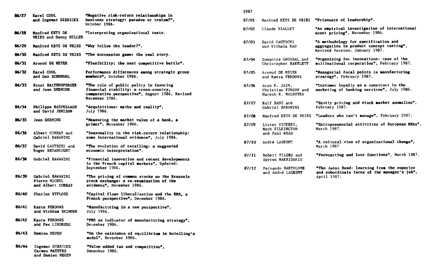| 86/27 | <b>Karel COOL</b><br>and Ingemar DIERICKX                     | "Negative risk-return relationships in<br>business strategy: paradox or truism?",<br>October 1986.                                                  |
|-------|---------------------------------------------------------------|-----------------------------------------------------------------------------------------------------------------------------------------------------|
| 86/28 | <b>Manfred KETS DE</b><br>VRIES and Danny MILLER              | "Interpreting organizational texts.                                                                                                                 |
| 86/29 | <b>Manfred KETS DE VRIES</b>                                  | "Why follow the leader?".                                                                                                                           |
| 86/30 | Manfred KETS DE VRIES                                         | "The succession game: the real story.                                                                                                               |
| 86/31 | Arnoud DE MEYER                                               | "Flexibility: the next competitive battle".                                                                                                         |
| 86/32 | Karel COOL<br>and Dan SCHENDEL                                | Performance differences among strategic group<br>members", October 1986.                                                                            |
| 86/33 | <b>Ernst BALTENSPERGER</b><br>and Jean DERMINE                | "The role of public policy in insuring<br>financial stability: a cross-country,<br>comparative perspective*, August 1986, Revised<br>November 1986. |
| 86/34 | <b>Philippe HASPESLAGH</b><br>and David JEMISON               | "Acquisitions: myths and reality",<br>July 1986.                                                                                                    |
| 86/35 | <b>Jean DERMINE</b>                                           | "Measuring the market value of a bank, a<br>primer", November 1986.                                                                                 |
| 86/36 | Albert CORHAY and<br>Gabriel HAWAWINI                         | "Seasonality in the risk-return relationship:<br>some international evidence", July 1986.                                                           |
| 86/37 | David GAUTSCHI and<br>Roger BETANCOURT                        | "The evolution of retailing: a suggested<br>economic interpretation".                                                                               |
| 86/38 | Gabriel HAWAWINI                                              | "Financial innovation and recent developments<br>in the French capital markets", Updated:<br>September 1986.                                        |
| 86/39 | Gabriel HAWAWINI<br>Pierre MICHEL<br>and Albert CORHAY        | "The pricing of common stocks on the Brussels<br>stock exchange: a re-examination of the<br>evidence", November 1986.                               |
| 86/40 | <b>Charles WYPLOSZ</b>                                        | "Capital flows liberalization and the EMS, a<br>French perspective", December 1986.                                                                 |
| 86/41 | Kasra FERDOWS<br>and Wickham SKINNER                          | "Manufacturing in a new perspective",<br>July 1986.                                                                                                 |
| 86/42 | <b>Kasra FERDOVS</b><br>and Per LINDBERG                      | "FMS as indicator of manufacturing strategy",<br>December 1986.                                                                                     |
| 86/43 | Damien NEVEN                                                  | "On the existence of equilibrium in hotelling's<br>model", November 1986.                                                                           |
| 86/44 | Ingemar DIERICKX<br><b>Carmen MATUTES</b><br>and Damien NEVEN | "Value added tax and competition",<br>December 1986.                                                                                                |

| 87/01 |                                                             | Manfred KETS DE VRIES "Prisoners of leadership".                                                                   |
|-------|-------------------------------------------------------------|--------------------------------------------------------------------------------------------------------------------|
| 87/02 | Claude VIALLET                                              | "An empirical investigation of international<br>asset pricing", November 1986.                                     |
| 87/03 | David GAUTSCHI<br>and Vithala RAO                           | "A methodology for specification and<br>aggregation in product concept testing",<br>Revised Version: January 1987. |
| 87/04 | Sumantra GHOSHAL and<br>Christopher BARTLETT                | "Organizing for innovations: case of the<br>multinational corporation", February 1987.                             |
| 87/05 | Arnoud DE MEYER<br>and Kasra FERDOVS                        | "Managerial focal points in manufacturing<br>strategy", February 1987.                                             |
| 87/06 | Arun K. JAIN,<br>Christian PINSON and<br>Naresh K. MALHOTRA | "Customer loyalty as a construct in the<br>marketing of banking services", July 1986.                              |
| 87/07 | Rolf BANZ and<br>Gabriel HAWAWINI                           | "Equity pricing and stock market anomalies",<br>February 1987.                                                     |
| 87/08 | Manfred KETS DE VRIES                                       | "Leaders who can't manage", February 1987.                                                                         |
| 87/09 | Lister VICKERY,<br>Mark PILKINGTON<br>and Paul READ         | "Entrepreneurial activities of European MBAs",<br>March 1987.                                                      |
| 87/10 | André LAURENT                                               | "A cultural view of organizational change",<br>March 1987                                                          |
| 87/11 | Robert FILDES and<br>Spyros MAKRIDAKIS                      | "Forecasting and loss functions", March 1987.                                                                      |
| 87/12 | Fernando BARTOLOME<br>and André LAURENT                     | "The Janus Head: learning from the superior<br>and subordinate faces of the manager's job",<br>April 1987.         |